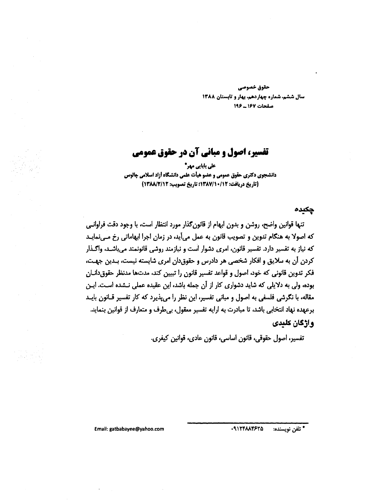حقوق خصوصي سال ششم، شماره چهاردهم، بهار و تابستان ۱۳۸۸ صفحات 167 ـ 196

# تفسیر، اصول و میانی آن در حقوق عمومی

على بابايي مهر\* دانشجوی دکتری حقوق عمومی و عضو هیأت علمی دانشگاه أزاد اسلامی چالوس (تاريخ دريافت: ١٣٨٧/١٠/١٢): تاريخ تصويب: ١٣٨٨/٢/١٢)

جكيده

تنها قوانین واضح، روشن و بدون ابهام از قانون گذار مورد انتظار است، با وجود دقت فراوانبی که اصولا به هنگام تدوین و تصویب قانون به عمل می[ید، در زمان اجرا ابهاماتی رخ مـی;مایـد که نیاز به تفسیر دارد. تفسیر قانون، امری دشوار است و نیازمند روشی قانونمند می باشـد، واگـذار كردن أن به سلايق و افكار شخصي هر دادرس و حقوق دان امري شايسته نيست، بـدين جهـت، فکر تدوین قانونی که خود، اصول و قواعد تفسیر قانون را تبیین کند، مدتها مدنظر حقوق دانیان بوده، ولی به دلایلی که شاید دشواری کار از آن جمله باشد، این عقیده عملی نـشده اسـت. ایـن مقاله، با نگرشی فلسفی به اصول و مبانی تفسیر، این نظر را می پذیرد که کار تفسیر قــانون بایــد برعهده نهاد انتخابي باشد، تا مبادرت به ارايه تفسير معقول، بي طرف و متعارف از قوانين بنمايد. واژگان کلندی

تفسير، اصول حقوقي، قانون اساسي، قانون عادي، قوانين كيفري.

· ٩١٢۴٨٨۴۶٢٥ \* تلفن نويسنده:

Email: gatbabayee@yahoo.com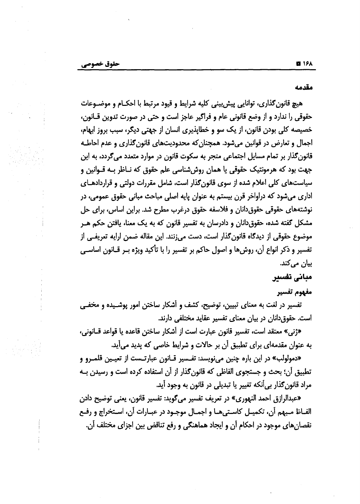مقدمه

هيچ قانون گذاري، توانايي پيش بيني كليه شرايط و قبود مرتبط يا احكــام و موضــوعات حقوقي را ندارد و از وضع قانوني عام و فراگير عاجز است و حتي در صورت تدوين قــانون، خصیصه کلی بودن قانون، از یک سو و خطایذیری انسان از جهتی دیگر، سبب بروز ابهام، اجمال و تعارض در قوانین میشود. همچنان که محدودیتهای قانون گذاری و عدم احاطـه قانون گذار بر تمام مسایل اجتماعی منجر به سکوت قانون در موارد متعدد می گردد، به این جهت بود که هرمونتیک حقوقی یا همان روششناسی علم حقوق که نــاظر بــه قــوانین و سیاستهای کلی اعلام شده از سوی قانون گذار است، شامل مقررات دولتی و قراردادهــای اداری میشود که دراواخر قرن بیستم به عنوان پایه اصلی مباحث مبانی حقوق عمومی، در نوشتههای حقوقی حقوق دانان و فلاسفه حقوق درغرب مطرح شد. براین اساس، برای حل مشکل گفته شده، حقوق دانان و دادرسان به تفسیر قانون که به یک معنا، یافتن حکم هـر موضوع حقوقی از دیدگاه قانون گذار است، دست می;نند. این مقاله ضمن ارایه تعریفـی از تفسیر و ذکر انواع آن، روشها و اصول حاکم بر تفسیر را با تأکید ویژه بـر قــانون اساســی بیان میکند.

### مبانی تفسیر

#### مفهوم تفسير

تفسیر در لغت به معنای تبیین، توضیح، کشف و أشکار ساختن امور پوشـیده و مخفـی است. حقوق دانان در بیان معنای تفسیر عقاید مختلفی دارند.

«ژنی» معتقد است، تفسیر قانون عبارت است از أشكار ساختن قاعده یا قواعد قــانونی، به عنوان مقدمهای برای تطبیق أن بر حالات و شرایط خاصی که پدید می آید.

«دمولولب» در این باره چنین میiویسد: تفـسیر قـانون عبارتـست از تعیـین قلمـرو و تطبیق آن؛ بحث و جستجوی الفاظی که قانون گذار از آن استفاده کرده است و رسیدن بـه مراد قانون گذار بی اَنکه تغییر یا تبدیلی در قانون به وجود اَید.

«عبدالرازق احمد النهوري» در تعريف تفسير ميگويد: تفسير قانون، يعني توضيح دادن الفـاظ مـبهم أن، تكميـل كاسـتيهـا و اجمـال موجـود در عبـارات أن، اسـتخراج و رفـع نقصانهای موجود در احکام آن و ایجاد هماهنگی و رفع تناقض بین اجزای مختلف آن.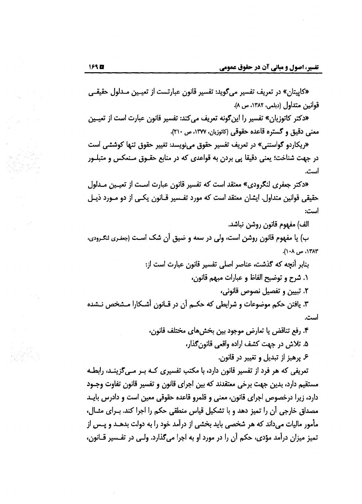«کایپتان» در تعریف تفسیر میگوید: تفسیر قانون عبارتست از تعیـین مـدلول حقیقـی قوانين متداول (ديلمي، ١٣٨٢، ص ٨).

«دکتر کاتوزیان» تفسیر را این گونه تعریف می کند: تفسیر قانون عبارت است از تعیــین معنی دقیق و گستره قاعده حقوقی (کاتوزیان، ۱۳۷۷، ص ۲۱۰).

«ریکاردو گواستنی» در تعریف تفسیر حقوق می;نویسد: تغییر حقوق تنها کوششی است در جهت شناخت؛ یعنی دقیقا پی بردن به قواعدی که در منابع حقــوق مــنعکس و متبلــور است.

«دکتر جعفری لنگرودی» معتقد است که تفسیر قانون عبارت است از تعیـین مـدلول حقیقی قوانین متداول. ایشان معتقد است که مورد تفـسیر قـانون یکـی از دو مــورد ذیـل است:

الف) مفهوم قانون روشن نباشد.

ب) یا مفهوم قانون روشن است، ولی در سعه و ضیق آن شک اسـت (جغـری لنګـرودی، ۱۳۸۳، ص ۱۰۸).

> بنابر أنجه كه گذشت، عناصر اصلی تفسیر قانون عبارت است از: ٠. شرح و توضيح الفاظ و عبارات مبهم قانون،

> > ٢. تبيين و تفصيل نصوص قانوني،

۳. یافتن حکم موضوعات و شرایطی که حکــم آن در قــانون أشــکارا مــشخص نــشده است.

> ۴. رفع تناقض یا تعارض موجود بین بخشهای مختلف قانون، ۵. تلاش در جهت کشف اراده واقعی قانون گذار،

> > ع پرهيز از تبديل و تغيير در قانون.

تعریفی که هر فرد از تفسیر قانون دارد، با مکتب تفسیری کـه بـر مـی5زینـد، رابطـه مستقیم دارد، بدین جهت برخی معتقدند که بین اجرای قانون و تفسیر قانون تفاوت وجـود دارد، زیرا درخصوص اجرای قانون، معنی و قلمرو قاعده حقوقی معین است و دادرس بایــد مصداق خارجی آن را تمیز دهد و با تشکیل قیاس منطقی حکم را اجرا کند. بــرای مثــال، مأمور مالیات میداند که هر شخصی باید بخشی از درآمد خود را به دولت بدهــد و پــس از تمیز میزان درآمد مؤدی، حکم آن را در مورد او به اجرا میگذارد. ولـی در تفـسیر قــانون،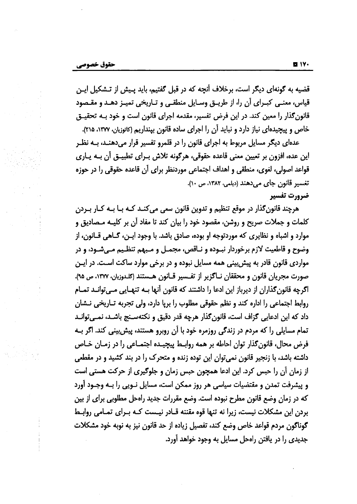قضیه به گونهای دیگر است، برخلاف آنچه که در قبل گفتیم، باید پـیش از تـشکیل ایـن قیاس، معنبی کبـرای آن را، از طریـق وسـایل منطقـی و تـاریخی تمیـز دهـد و مقـصود قانون گذار را معین کند. در این فرض تفسیر، مقدمه اجرای قانون است و خود بـه تحقیــق خاص و پیچیدهای نیاز دارد و نباید آن را اجرای ساده قانون بینداریم (کاتوزیان، ۱۳۷۷، ۲۱۵).

عدهای دیگر مسایل مربوط به اجرای قانون را در قلمرو تفسیر قرار میدهنـد، بـه نظـر این عده، افزون بر تعیین معنی قاعده حقوقی، هرگونه تلاش بــرای تطبیــق أن بــه یــاری قواعد اصولی، لغوی، منطقی و اهداف اجتماعی موردنظر برای آن قاعده حقوقی را در حوزه تغسیر قانون جای می دهند (دیلمی، ۱۳۸۲، ص ۱۰). ضرورت تفسير

هرچند قانونگذار در موقع تنظیم و تدوین قانون سعی میکنـد کـه بـا بـه کـار بـردن کلمات و جملات صریح و روشن، مقصود خود را بیان کند تا مفاد آن بر کلیــه مــصادیق و موارد و اشباه و نظایری که موردتوجه او بوده، صادق باشد. با وجود ایـن، گــاهی قــانون، از وضوح و قاطعیت لازم برخوردار نبـوده و نـاقص، مجمـل و مـبهم تنظـیم مـی.شـود، و در مواردی قانون قادر به پیش بینی همه مسایل نبوده و در برخی موارد ساکت اسـت. در ایـن صورت مجريان قانون و محققان نــاگزير از تفــسير قــانون هــستند (كلـدوزيان، ١٣٧٧، ص ٩۵). اگرچه قانون گذاران از دیرباز این ادعا را داشتند که قانون آنها بــه تنهــایی مــی توانــد تمــام روابط اجتماعی را اداره کند و نظم حقوقی مطلوب را برپا دارد، ولی تجربه تــاریخی نــشان داد که این ادعایی گزاف است، قانونِگذار هرچه قدر دقیق و نکتهسـنج باشـد، نمـیٍتوانـد تمام مسایلی را که مردم در زندگی روزمره خود با آن روبرو هستند، پیش بینی کند. اگر بـه فرض محال، قانون گذار توان احاطه بر همه روابـط پیچیـده اجتمـاعی را در زمـان خـاص داشته باشد، با زنجیر قانون نمی توان این توده زنده و متحرک را در بند کشید و در مقطعی از زمان آن را حبس کرد. این ادعا همچون حبس زمان و جلوگیری از حرکت هستی است و پیشرفت تمدن و مقتضیات سیاسی هر روز ممکن است، مسایل نـویی را بـه وجـود آورد که در زمان وضع قانون مطرح نبوده است. وضع مقررات جدید راهحل مطلوبی برای از بین بردن این مشکلات نیست، زیرا نه تنها قوه مقننه قـادر نیـست کـه بـرای تمـامی روابـط گوناگون مردم قواعد خاص وضع كند، تفصيل زياده از حد قانون نيز به نوبه خود مشكلات جدیدی را در یافتن راهحل مسایل به وجود خواهد آورد.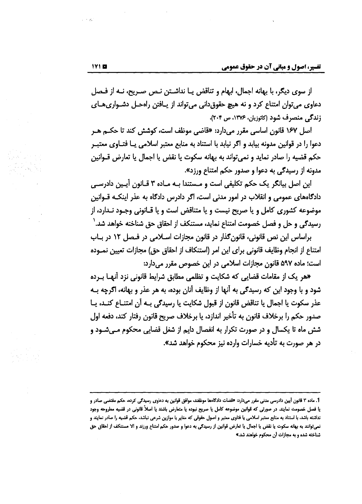از سوی دیگر، با بھانه اجمال، ابھام و تناقض پــا نداشــتن نــص صـریح، نــه از فـصل دعاوی میتوان امتناع کرد و نه هیچ حقوق دانی میتواند از پافتن راهحل دشواری های زندگی منصرف شود (کاتوزیان، ۱۳۷۶، ص ۲۰۴).

اصل ۱۶۷ قانون اساسی مقرر میدارد: «قاضی موظف است، کوشش کند تا حکــم هــر دعوا را در قوانین مدونه بیابد و اگر نیابد با استناد به منابع معتبر اسلامی یــا فتــاوی معتبــر حکم قضیه را صادر نماید و نمی تواند به بهانه سکوت یا نقض یا اجمال یا تعارض قــوانین مدونه از رسیدگی به دعوا و صدور حکم امتناع ورزد».

این اصل بیانگر یک حکم تکلیفی است و مـستندا بـه مـاده ۳ قـانون آپـین دادرسـبی دادگاههای عمومی و انقلاب در امور مدنی است، اگر دادرس دادگاه به عذر اینکـه قــوانین موضوعه کشوری کامل و یا صریح نیست و یا متناقض است و یا قـانونی وجـود نـدارد، از رسیدگی و حل و فصل خصومت امتناع نماید، مستنکف از احقاق حق شناخته خواهد شد. ٰ

براساس این نص قانونی، قانون گذار در قانون مجازات اسلامی در فیصل ۱۲ در بیاب امتناع از انجام وظايف قانوني براي اين امر (استنكاف از احقاق حق) مجازات تعيين نمـوده است؛ ماده ۵۹۷ قانون مجازات اسلامی در این خصوص مقرر میدارد:

«هر یک از مقامات قضایی که شکایت و تظلمی مطابق شرایط قانونی نزد آنهـا بــرده شود و با وجود این که رسیدگی به آنها از وظایف آنان بوده، به هر عذر و بهانه، اگرچه بـه عذر سكوت يا اجمال يا تناقض قانون از قبول شكايت يا رسيدگي بــه أن امتنــاع كنــد، يــا صدور حکم را برخلاف قانون به تأخیر اندازد، یا برخلاف صریح قانون رفتار کند، دفعه اول شش ماه تا یکسال و در صورت تکرار به انفصال دایم از شغل قضایی محکوم مـیشـود و در هر صورت به تأدیه خسارات وارده نیز محکوم خواهد شد».

<sup>1.</sup> ماده ۳ قانون أيين دادرسي مدني مقرر مي<ارد: «قضات دادگاهها موظفند، موافق قوانين به دعاوى رسيدگي كرده، حكم مقتضي صادر و یا فصل خصومت نمایند. در صورتی که قوانین موضوعه کامل یا صریح نبوده یا متعارض باشند یا اصلاً قانونی در قضیه مطروحه وجود نداشته باشد، با استناد به منابع معتبر اسلامی یا فتاوی معتبر و اصول حقوقی که مفایر با موازین شرعی نباشد. حکم قضیه را صادر نمایند و نمی،توانند به بهانه سکوت یا نقض یا اجمال یا تعارض قوانین از رسیدگی به دعوا و صدور حکم امتناع ورزند و الا مستنکف از احقاق حق شناخته شده و به مجازات آن محکوم خواهند شد.»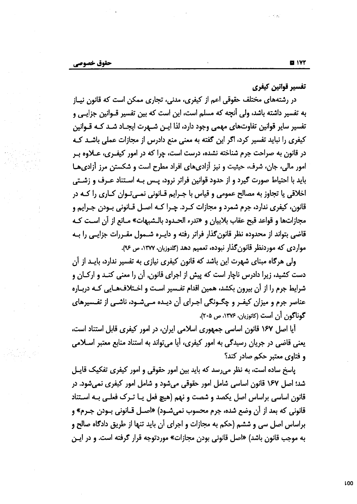تفسير قوانين كيفرى

در رشتههای مختلف حقوقی اعم از کیفری، مدنی، تجاری ممکن است که قانون نیـاز به تفسیر داشته باشد، ولی آنچه که مسلم است، این است که بین تفسیر قــوانین جزایــی و تفسیر سایر قوانین تفاوتهای مهمی وجود دارد، لذا ایـن شـهرت ایجـاد شـد کـه قـوانین کیفری را نباید تفسیر کرد، اگر این گفته به معنی منع دادرس از مجازات عملی باشـد کـه در قانون به صراحت جرم شناخته نشده، درست است، چرا که در امور کیفـری، عــلاوه بـر امور مالی، جان، شرف، حیثیت و نیز آزادیهای افراد مطرح است و شکستن مرز آزادیها باید با احتیاط صورت گیرد و از حدود قوانین فراتر نرود، پـس بـه اسـتناد عـرف و زشـتی اخلاقی یا تجاوز به مصالح عمومی و قیاس با جـرایم قــانونی نمــیتـوان کــاری را کــه در قانون، کیفری ندارد، جرم شمرد و مجازات کـرد. چـرا کـه اصـل قـانونی بـودن جـرایم و مجازاتها و قواعد قبح عقاب بلابيان و «تدرء الحـدود بالـشبهات» مـانع از آن اسـت كـه قاضی بتواند از محدوده نظر قانون گذار فراتر رفته و دایـره شــمول مقــررات جزایــی را بــه مواردی که موردنظر قانون گذار نبوده، تعمیم دهد (کلدوزیان، ۱۳۷۷، ص ۹۶).

ولی هرگاه مبنای شهرت این باشد که قانون کیفری نیازی به تفسیر ندارد، بایــد از آن دست کشید، زیرا دادرس ناچار است که پیش از اجرای قانون, آن را معنی کنـد و ارکـان و شرایط جرم را از آن بیرون بکشد، همین اقدام تفسیر است و اختلافهایی کـه دربـاره عناصر جرم و میزان کیفـر و چگـونگی اجـرای آن دیـده مـیشـود، ناشـی از تفـسیرهای گوناگون آن است (کاتوزیان، ۱۳۷۶، ص ۲۰۵).

أيا اصل ١۶٧ قانون اساسي جمهوري اسلامي ايران، در امور كيفري قابل استناد است، یعنی قاضی در جریان رسیدگی به امور کیفری، آیا میتواند به استناد منابع معتبر اســلامی و فتاوى معتبر حكم صادر كند؟

پاسخ ساده است، به نظر می رسد که باید بین امور حقوقی و امور کیفری تفکیک قایـل شد؛ اصل ۱۶۷ قانون اساسی شامل امور حقوقی میشود و شامل امور کیفری نمیشود. در قانون اساسی براساس اصل یکصد و شصت و نهم (هیچ فعل یــا تــرک فعلــی بــه اســتناد قانونی که بعد از آن وضع شده، جرم محسوب نمیشـود) «اصـل قــانونی بــودن جــرم» و براساس اصل سی و ششم (حکم به مجازات و اجرای أن باید تنها از طریق دادگاه صالح و به موجب قانون باشد) «اصل قانونی بودن مجازات» موردتوجه قرار گرفته است. و در ایـن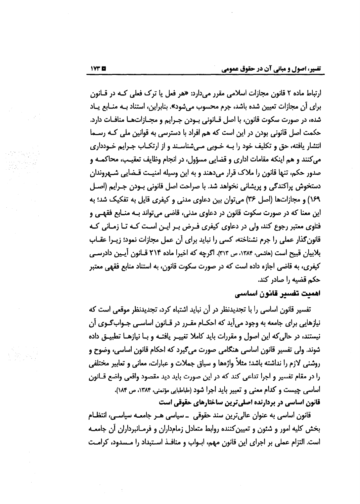ارتباط ماده ۲ قانون مجازات اسلامی مقرر میدارد: «هر فعل یا ترک فعلی کـه در قــانون برای آن مجازات تعیین شده باشد، جرم محسوب میشود». بنابراین، استناد بـه منـابع پـاد شده، در صورت سکوت قانون، با اصل قــانونی بــودن جــرایم و مجــازاتهـا منافــات دارد. حکمت اصل قانونی بودن در این است که هم افراد با دسترسی به قوانین ملی کـه رسـما انتشار یافته، حق و تکلیف خود را بــه خــوبی مــیشناسـند و از ارتکــاب جــرایم خــودداری می کنند و هم اینکه مقامات اداری و قضایی مسؤول، در انجام وظایف تعقیب، محاکمـه و صدور حکم، تنها قانون را ملاک قرار میدهند و به این وسیله امنیـت قـضایی شـهروندان دستخوش پراکندګی و پریشانی نخواهد شد. با صراحت اصل قانونی بــودن جــرایم (اصــل ۶۹/) و مجازاتها (اصل ۳۶) می توان بین دعاوی مدنی و کیفری قایل به تفکیک شد؛ به این معنا که در صورت سکوت قانون در دعاوی مدنی، قاضی میتواند بـه منـابع فقهـی و فتاوی معتبر رجوع کند، ولی در دعاوی کیفری فـرض بـر ایـن اسـت کـه تـا زمـانی کـه قانون گذار عملی را جرم نشناخته، کسی را نباید برای آن عمل مجازات نمود؛ زیــرا عقــاب بلابیان قبیح است (هاشمی، ۱۳۸۴، ص ۳۱۳). اگرچه که اخیرا ماده ۲۱۴ قـانون آیـین دادرسـی کیفری، به قاضی اجازه داده است که در صورت سکوت قانون، به استناد منابع فقهی معتبر حکم قضیه را صادر کند.

### اهميت تفسير قانون اساسي

تفسیر قانون اساسی را با تجدیدنظر در آن نباید اشتباه کرد، تجدیدنظر موقعی است که نیازهایی برای جامعه به وجود میآید که احکــام مقــرر در قــانون اساســی جــواب\$ــوی آن نیستند، در حالی که این اصول و مقررات باید کاملا تغییـر یافتـه و بـا نیازهـا تطبیـق داده شوند. ولي تفسير قانون اساسي هنگامي صورت ميگيرد كه احكام قانون اساسي، وضوح و روشنی لازم را نداشته باشد؛ مثلاً واژهها و سیاق جملات و عبارات، معانی و تعابیر مختلفی را در مقام تفسیر و اجرا تداعی کند که در این صورت باید دید مقصود واقعی واضع قــانون اساسی چیست و کدام معنی و تعبیر باید اجرا شود (طباطبایی مؤتمنی، ۱۳۸۴، ص ۱۸۴). قانون اساسی در بردارنده اصلی ترین ساختارهای حقوقی است

قانون اساسی به عنوان عالیترین سند حقوقی \_ سیاسی هـر جامعـه سیاسـی، انتظـام بخش کلیه امور و شئون و تعیینکننده روابط متعادل زمامداران و فرمـانبرداران آن جامعـه است. التزام عملي بر اجراي اين قانون مهم، ابــواب و منافــذ اســتبداد را مــسدود، كرامــت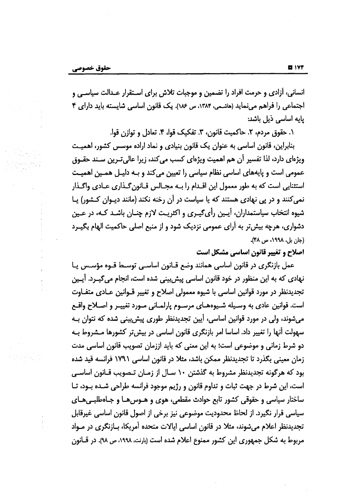انسانی، آزادی و حرمت افراد را تضمین و موجبات تلاش برای اسـتقرار عـدالت سیاسـی و اجتماعی را فراهم مینماید (هاشمی، ۱۳۸۴، ص ۱۸۶). یک قانون اساسی شایسته باید دارای ۴ تابه اساسی ڈیل پاشد:

١. حقوق مردم، ٢. حاكميت قانون، ٣. تفكيك قوا، ۴. تعادل و توازن قوا.

بنابراین، قانون اساسی به عنوان یک قانون بنیادی و نماد اراده موسس کشور، اهمیت ویژهای دارد، لذا تفسیر آن هم اهمیت ویژهای کسب می کند، زیرا عالی تـرین سـند حقـوق عمومی است و پایههای اساسی نظام سیاسی را تعیین می کند و بـه دلیـل همـین اهمیـت استثنایی است که به طور معمول این اقـدام را بــه مجـالس قـانون گـذاری عـادی واگـذار نمی کنند و در پی نهادی هستند که یا سیاست در آن رخنه نکند (مانند دیوان کشور) یا شیوه انتخاب سیاستمداران، آپـین رأیگیـری و اکثریـت لازم چنـان باشـد کـه، در عـین دشواری، هرچه بیش تر به آرای عمومی نزدیک شود و از منبع اصلی حاکمیت الهام بگیـرد (جان بل، ١٩٩٨، ص ٣٨).

اصلاح و تغییر قانون اساسی مشکل است

عمل بازنگری در قانون اساسی همانند وضع قـانون اساسـی توسـط قـوه مؤسـس یـا نهادی که به این منظور در خود قانون اساسی پیش بینی شده است، انجام میگیــرد. آیــین تجدیدنظر در مورد قوانین اساسی با شیوه معمولی اصلاح و تغییر قــوانین عــادی متفــاوت است. قوانین عادی به وسیله شیوههـای مرسـوم پارلمـانی مـورد تغییـر و اصـلاح واقـع می شوند، ولی در مورد قوانین اساسی، اَپین تجدیدنظر طوری پیش بینی شده که نتوان بـه سهولت أنها را تغییر داد. اساسا امر بازنگری قانون اساسی در بیش تر کشورها مـشروط بـه دو شرط زمانی و موضوعی است؛ به این معنی که باید اززمان تصویب قانون اساسی مدت زمان معینی بگذرد تا تجدیدنظر ممکن باشد، مثلا در قانون اساسی ۱۷۹۱ فرانسه قید شده بود که هرگونه تجدیدنظر مشروط به گذشتن ۱۰ سـال از زمـان تـصویب قـانون اساسـی است، این شرط در جهت ثبات و تداوم قانون و رژیم موجود فرانسه طراحی شـده بـود، تـا ساختار سیاسی و حقوقی کشور تابع حوادث مقطعی، هوی و هــوسهــا و جــاهطلبــیهـای سیاسی قرار نگیرد. از لحاظ محدودیت موضوعی نیز برخی از اصول قانون اساسی غیرقابل تجدیدنظر اعلام میشوند، مثلا در قانون اساسی ایالات متحده آمریکا، بـازنگری در مـواد مربوط به شکل جمهوری این کشور ممنوع اعلام شده است (بارنت، ۱۹۹۸، ص ۹۸). در قــانون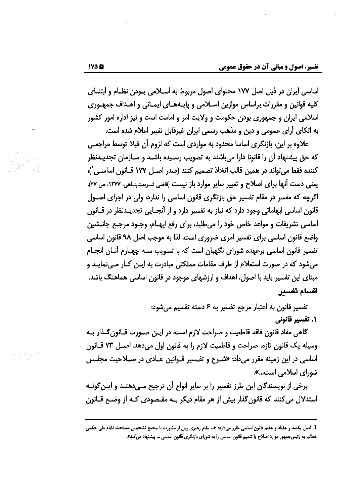اساسی ایران در ذیل اصل ۱۷۷ محتوای اصول مربوط به اسـلامی بـودن نظـام و ابتنـای کلیه قوانین و مقررات براساس موازین اسـلامی و پایـههـای ایمـانی و اهـداف جمهـوری اسلامی ایران و جمهوری بودن حکومت و ولایت امر و امامت است و نیز اداره امور کشور به اتکای آرای عمومی و دین و مذهب رسمی ایران غیرقابل تغییر اعلام شده است.

علاوه بر این، بازنگری اساسا محدود به مواردی است که لزوم آن قبلا توسط مراجعــی که حق پیشنهاد آن را قانونا دارا می؛باشند به تصویب رسـیده باشـد و سـازمان تجدیـدنظر كننده فقط مي تواند در همين قالب اتخاذ تصميم كنند (صدر اصـل ١٧٧ قـانون اساسـي')، یعنی دست آنها برای اصلاح و تغییر سایر موارد باز نیست (قاضی شریعتپناهی، ۱۳۷۷، ص ۴۲). اگرچه که مفسر در مقام تفسیر حق بازنگری قانون اساسی را ندارد، ولی در اجرای اصـول قانون اساسی ابهاماتی وجود دارد که نیاز به تفسیر دارد و از آنجـایی تجدیـدنظر در قـانون اساسی تشریفات و مواعد خاص خود را میطلبد، برای رفع ایهـام، وجـود مرجـع جانــشین واضع قانون اساسی برای تفسیر امری ضروری است. لذا به موجب اصل ۹۸ قانون اساسی تفسیر قانون اساسی برعهده شورای نگهبان است که با تصویب سـه چهـارم آنـان انجـام میشود که در صورت استعلام از طرف مقامات مملکتی مبادرت به ایـن کــار مــیiمایــد و مبنای این تفسیر باید با اصول، اهداف و ارزشهای موجود در قانون اساسی هماهنگ باشد. اقسام تفسير

> تفسير قانون به اعتبار مرجع تفسير به ۶ دسته تقسيم مي شود: ۰۱ تفسیر قانونی

گاهی مفاد قانون فاقد قاطعیت و صراحت لازم است، در ایـن صـورت قـانون گـذار بـه وسيله يك قانون تازه، صراحت و قاطعيت لازم را به قانون اول مى دهد. اصل ٧٣ قانون اساسی در این زمینه مقرر میداد: «شـرح و تفـسیر قـوانین عـادی در صـلاحیت مجلـس شورای اسلامی است...».

برخی از نویسندگان این طرز تفسیر را بر سایر انواع آن ترجیح مـیدهنـد و ایـن¢ونـه استدلال میکنند که قانون گذار بیش از هر مقام دیگر بـه مقـصودی کـه از وضـع قـانون

<sup>1.</sup> اصل يكصد و هفتاد و هفتم قانون اساسي مقرر ميدارد: «.. مقام رهبري پس از مشورت با مجمع تشخيص مصلحت نظام طي حكمي خطاب به رئیسجمهور موارد اصلاح یا تتمیم قانون اساسی را به شورای بازنگری قانون اساسی … پیشنهاد میکند».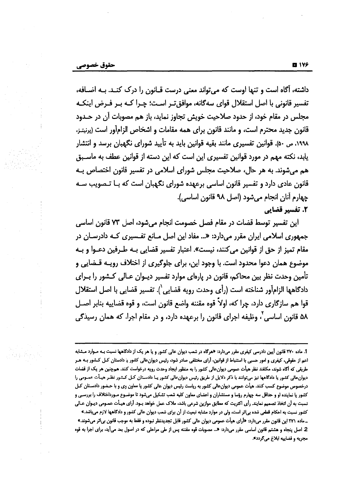داشته، آگاه است و تنها اوست که می تواند معنی درست قــانون را درک کنــد. بــه اضــافه، تفسیر قانونی با اصل استقلال قوای سهگانه، موافق تـر اسـت؛ چـرا کـه بـر فـرض اینکـه مجلس در مقام خود، از حدود صلاحیت خویش تجاوز نماید، باز هم مصوبات آن در حــدود قانون جديد محترم است، و مانند قانون براي همه مقامات و اشخاص الزام[ور است (پرنيتـز، ۱۹۹۸، ص ۵۰). قوانین تفسیری مانند بقیه قوانین باید به تأیید شورای نگهبان برسد و انتشار یابد، نکته مهم در مورد قوانین تفسیری این است که این دسته از قوانین عطف به ماسـبق هم می شوند. به هر حال، صلاحیت مجلس شورای اسلامی در تفسیر قانون اختصاص بـه قانون عادی دارد و تفسیر قانون اساسی برعهده شورای نگهبان است که بـا تـصویب سـه چهارم آنان انجام میشود (اصل ۹۸ قانون اساسی). 2. تفسیر قضایی

این تفسیر توسط قضات در مقام فصل خصومت انجام میشود، اصل ۷۳ قانون اساسی جمهوری اسلامی ایران مقرر میدارد: «... مفاد این اصل مـانع تفـسیری کـه دادرسـان در مقام تميز از حق از قوانين ميكنند، نيست». اعتبار تفسير قضايي بـه طـرفين دعـوا و بـه موضوع همان دعوا محدود است. با وجود این، برای جلوگیری از اختلاف رویـه قــضایی و تأمین وحدت نظر بین محاکم، قانون در پارهای موارد تفسیر دیــوان عــالی کــشور را بــرای دادگاهها الزامآور شناخته است (رأى وحدت رويه قضايي`). تفسير قضايي با اصل استقلال قوا هم سازگاری دارد، چرا که، اولاً قوه مقننه واضع قانون است، و قوه قضاییه بنابر اصـل ۵۸ قانون اساسی ٔ، وظیفه اجرای قانون را برعهده دارد، و در مقام اجرا، که همان رسیدگی

<sup>1.</sup> ماده ۲۷۰ قانون آیین دادرسی کیفری مقرر میدارد: «هرگاه در شعب دیوان عالی کشور و یا هر یک از دادگاهها نسبت بـه مـوارد مـشابه اعم از حقوقی، کیفری و امور حسبی با استنباط از قوانین، أرای مختلفی صادر شود. رئیس دیوان،الی کشور یا دادستان کــل کــشور بــه هــر طریقی که أگاه شوند، مکلفند نظر هیأت عمومی دیوان،الی کشور را به منظور ایجاد وحدت رویه درخواست کنند. همچنین هر یک از قضات دیوانءالی کشور یا دادگاهها نیز می،توانند با ذکر دلایل از طریق رئیس دیوانءالی کشور یـا دادسـتان کـل کـشور نظـر هیـأت عمـومی را درخصوص موضوع کسب کنند. هیأت عمومی دیوان£الی کشور به ریاست رئیس دیوان عالی کشور یا معاون وی و با حـضور دادسـتان کـل کشور یا نماینده او و حداقل سه چهارم رؤسا و مستشاران و اعضای معاون کلیه شعب تشکیل میشود تا موضـوع مـورداختلاف را بررسـی و نسبت به أن اتخاذ تصميم نمايند. رأى اكثريت كه مطابق موازين شرعى باشد، ملاک عمل خواهد بىود. أراى هيـأت عمـومى ديـوان عـالى کشور نسبت به احکام قطعی شده بیاثر است، ولی در موارد مشابه تبعیت از أن برای شمب دیوان عالی کشور و دادگاهها لازم میباشد.» - ماده ۲۷۱ این قانون مقرر میدارد: «أرای هیأت عمومی دیوان عالی کشور قابل تجدیدنظر نبوده و فقط به موجب قانون بیاثر میشوند.» 2 اصل پنجاه و هشتم قانون اساسی مقرر میدارد: «.. مصوبات قوه مقننه پس از طی مراحلی که در اصول بعد می[ید، برای اجرا به قوه مجریه و قضاییه ابلاغ میگردد».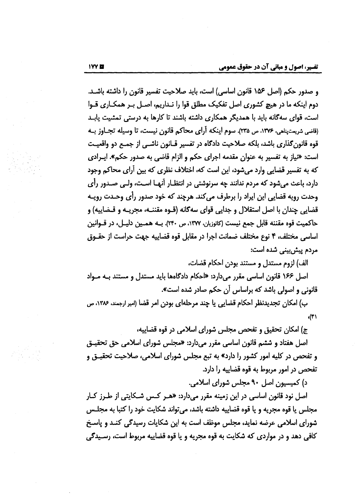و صدور حكم (اصل ١٥۶ قانون اساسي) است، بايد صلاحيت تفسير قانون را داشته باشـد. دوم اینکه ما در هیچ کشوری اصل تفکیک مطلق قوا را نـداریم، اصـل بـر همکـاری قـوا است، قوای سهگانه باید با همدیگر همکاری داشته باشند تا کارها به درستی تمشیت پابـد (قاضي شريعتيناهي، ١٣٧۶، ص ٢٣۵). سوم اينكه أراي محاكم قانون نيست، تا وسيله تجـاوز بـه قوه قانون گذاری باشد، بلکه صلاحیت دادگاه در تفسیر قبانون ناشبی از جمیع دو واقعیت است: «نياز به تفسير به عنوان مقدمه اجراي حكم و الزام قاضي به صدور حكم». ايـرادي که به تفسیر قضایی وارد میشود، این است که، اختلاف نظری که بین آرای محاکم وجود دارد، باعث می شود که مردم ندانند چه سرنوشتی در انتظـار آنهـا اسـت، ولـی صـدور رأی وحدت رويه قضايي اين ايراد را برطرف مي كند. هرچند كه خود صدور رأى وحـدت رويـه قضايي چندان با اصل استقلال و جدايي قواي سه گانه (قـوه مقننـه، مجريـه و قـضاييه) و حاكميت قوه مقننه قابل جمع نيست (كاتوزيان، ١٣٧٧، ص ٢٣٠). بــه همــين دليــل، در قــوانين اساسی مختلف، ۴ نوع مختلف ضمانت اجرا در مقابل قوه قضاییه جهت حراست از حقـوق مردم پیش،بینی شده است:

الف) لزوم مستدل و مستند بودن احکام قضات،

اصل ۱۶۶ قانون اساسی مقرر میدارد: «احکام دادگاهها باید مستدل و مستند بـه مـواد قانونی و اصولی باشد که براساس آن حکم صادر شده است».

ب) امکان تجدیدنظر احکام قضایی یا چند مرحلهای بودن امر قضا (امیر ارجمند، ۱۳۸۶، ص  $\mathcal{L}(\mathbf{f})$ 

ج) امکان تحقیق و تفحص مجلس شورای اسلامی در قوه قضاییه،

اصل هفتاد و ششم قانون اساسی مقرر میدارد: «مجلس شورای اسلامی حق تحقیـق و تفحص در کلیه امور کشور را دارد» به تبع مجلس شورای اسلامی، صلاحیت تحقیـق و تفحص در امور مربوط به قوه قضاییه را دارد.

د) کمیسیون اصل ۹۰ مجلس شورای اسلامی.

اصل نود قانون اساسی در این زمینه مقرر میدارد: «هـر کـس شـکایتی از طـرز کـار مجلس یا قوه مجریه و یا قوه قضاییه داشته باشد، می تواند شکایت خود را کتبا به مجلـس شورای اسلامی عرضه نماید، مجلس موظف است به این شکایات رسیدگی کنـد و پاسـخ کافی دهد و در مواردی که شکایت به قوه مجریه و یا قوه قضاییه مربوط است، رسـیدگی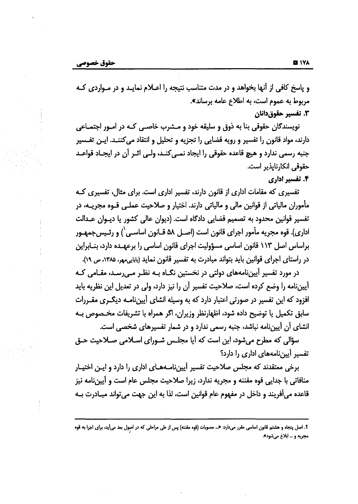و پاسخ کافی از أنها بخواهد و در مدت متناسب نتیجه را اعــلام نمایــد و در مــواردی کــه مربوط به عموم است، به اطلاع عامه برساند». ٣. تفسير حقوق دانان

نویسندگان حقوقی بنا به ذوق و سلیقه خود و مـشرب خاصـی کـه در امـور اجتمـاعی دارند، مواد قانون را تفسیر و رویه قضایی را تجزیه و تحلیل و انتقاد میکننـد. ایـن تفـسیر جنبه رسمی ندارد و هیچ قاعده حقوقی را ایجاد نمـی کنـد، ولـی اثـر آن در ایجـاد قواعـد حقوقی انکارناپذیر است.

#### ۴. تفسیر اداری

تفسیری که مقامات اداری از قانون دارند، تفسیر اداری است. برای مثال، تفسیری کـه مأموران مالیاتی از قوانین مالی و مالیاتی دارند. اختیار و صلاحیت عملـی قــوه مجریــه، در تفسیر قوانین محدود به تصمیم قضایی دادگاه است. (دیوان عالی کشور یا دیـوان عـدالت اداری). قوه مجریه مأمور اجرای قانون است (اصـل ۵۸ قـانون اساسـی`) و رئـیسِجمهـور براساس اصل ۱۱۳ قانون اساسی مسؤولیت اجرای قانون اساسی را برعهـده دارد، بنـابراین در راستای اجرای قوانین باید بتواند مبادرت به تفسیر قانون نماید (بابایههر، ۱۳۸۵، ص ۱۹).

در مورد تفسیر آییننامههای دولتی در نخستین نگ)ه بـه نظـر مـی رسـد، مقـامی کـه آییننامه را وضع کرده است، صلاحیت تفسیر آن را نیز دارد، ولی در تعدیل این نظریه باید افزود که این تفسیر در صورتی اعتبار دارد که به وسیله انشای آییننامـه دیگـری مقـررات سابق تكميل يا توضيح داده شود، اظهارنظر وزيران، اگر همراه با تشريفات مخـصوص بـه انشای آن آییننامه نباشد، جنبه رسمی ندارد و در شمار تفسیرهای شخصی است.

سؤالی که مطرح میشود، این است که آیا مجلـس شـورای اسـلامی صـلاحیت حـق تفسیر آیین نامههای اداری را دارد؟

برخی معتقدند که مجلس صلاحیت تفسیر آییننامـههـای اداری را دارد و ایـن اختیـار منافاتی با جدایی قوه مقننه و مجریه ندارد، زیرا صلاحیت مجلس عام است و آیینiامه نیز قاعده می آفریند و داخل در مفهوم عام قوانین است، لذا به این جهت می تواند مبـادرت بـه

<sup>1.</sup> اصل پنجاه و هشتم قانون اساسی مقرر میدارد: «... مصوبات (قوه مقننه) پس از طی مراحلی که در اصول بعد میأید، برای اجرا به قوه مجریه و … ابلاغ میشود».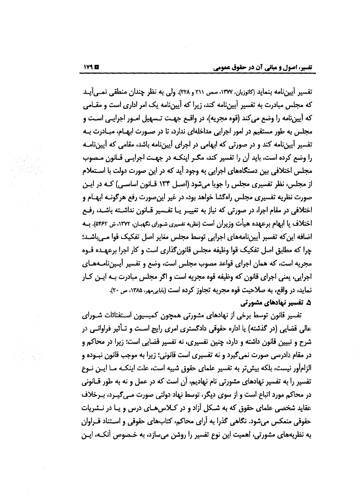تفسير أيين،نامه بنمايد (كاتوزيان، ١٣٧٧، صص ٢١١ و ٢٢٨). ولي به نظر چندان منطقي نمـي آيـد که مجلس مبادرت به تفسیر آیین،نامه کند، زیرا که آیین،نامه یک امر اداری است و مقـامی که آپیننامه را وضع می کند (قوه مجریه)، در واقــع جهــت تــسهیل امــور اجرایــی اسـت و مجلس به طور مستقیم در امور اجرایی مداخلهای ندارد، تا در صـورت ابهـام، مبـادرت بـه تفسیر آییننامه کند و در صورتی که ابهامی در اجرای آییننامه باشد، مقامی که آییننامـه را وضع کرده است، باید آن را تفسیر کند، مگـر اینکـه در جهـت اجرایـی قـانون مـصوب مجلس اختلافی بین دستگاههای اجرایی به وجود آید که در این صورت دولت با اسـتعلام از مجلس، نظر تفسیری مجلس را جویا میشود (اصل ۱۳۴ قانون اساسی) کـه در ایـن صورت نظریه تفسیری مجلس راهگشا خواهد بود، در غیر این صورت رفع هرگونـه ابهــام و اختلافی در مقام اجرا، در صورتی که نیاز به تغییـر یـا تفـسیر قـانون نداشـته باشـد، رفـع اختلاف یا ابهام برعهده هیأت وزیران است (نظریه تفسیری شـورای نکهبـان، ۱۳۷۲، ش ۵۴۶۲). بــه اضافه این که تفسیر آیین نامههای اجرایی توسط مجلس مغایر اصل تفکیک قوا مـی باشـد؛ چرا که مطابق اصل تفکیک قوا وظیفه مجلس قانون گذاری است و کار اجرا برعهـده قــوه مجریه است، که همان اجرای قواعد مصوب مجلس است، وضع و تفسیر آیـینiامـههـای اجرایی، یعنی اجرای قانون که وظیفه قوه مجریه است و اگر مجلس مبادرت بـه ایـن کـار نمايد، در واقع، به صلاحيت قوه مجريه تجاوز كرده است (بابايي مور، ۱۳۸۵، ص ۲۰). ۵. تفسیر نهادهای مشورتی

تفسیر قانون توسط برخی از نهادهای مشورتی همچون کمیسیون اسـتفتائات شـورای عالی قضایی (در گذشته) یا اداره حقوقی دادگستری امری رایج است و تـأثیر فراوانـی در شرح و تبیین قانون داشته و دارد، چنین تفسیری، نه تفسیر قضایی است؛ زیرا در محاکم و در مقام دادرسی صورت نمی گیرد و نه تفسیری است قانونی؛ زیرا به موجب قانون نبـوده و الزامأور نیست، بلکه بیش تر به تفسیر علمای حقوق شبیه است، علت اینکـه مــا ایــن نــوع تفسیر را به تفسیر نهادهای مشورتی نام نهادیم، آن است که در عمل و نه به طور قـانونی در محاکم مورد اتباع است و از سوی دیگر، توسط نهاد دولتی صورت مـی٤گیـرد، بـرخلاف عقاید شخصی علمای حقوق که به شکل آزاد و در کیلاس های درس و یا در نـشریات حقوقی منعکس می شود. نگاهی گذرا به آرای محاکم، کتابهای حقوقی و اسـتناد فـراوان به نظریههای مشورتی، اهمیت این نوع تفسیر را روشن میسازد، به خـصوص آنکـه، ایـن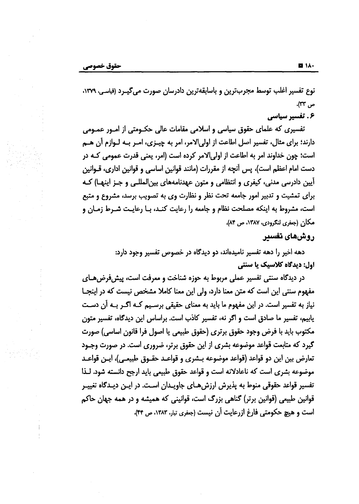نوع تفسیر اغلب توسط مجربترین و باسابقهترین دادرسان صورت میگیـرد (قیاسی، ۱۳۷۹، ص ٣٣).

۶. تفسیر سیاسی

تفسیری که علمای حقوق سیاسی و اسلامی مقامات عالی حکـومتی از امـور عمـومی دارند؛ برای مثال، تفسیر اصل اطاعت از اولی الامر، امر به چیـزی، امـر بـه لـوازم آن هـم است؛ چون خداوند امر به اطاعت از اولی|لامر کرده است (امر، یعنی قدرت عمومی کـه در دست امام اعظم است)، پس أنچه از مقررات (مانند قوانین اساسی و قوانین اداری، قــوانین آیین دادرسی مدنی، کیفری و انتظامی و متون عهدنامههای بین|لمللـی و جـز اینهـا) کـه برای تمشیت و تدبیر امور جامعه تحت نظر و نظارت وی به تصویب برسد، مشروع و متبع است، مشروط به اینکه مصلحت نظام و جامعه را رعایت کنـد، بـا رعایـت شـرط زمـان و مكان (جغرى لنكرودي، ١٣٨٧، ص ٨۴).

### روشهای تفسیر

دهه اخیر را دهه تفسیر نامیدهاند، دو دیدگاه در خصوص تفسیر وجود دارد: اول: دیدگاه کلاسیک یا سنتی

در دیدگاه سنتی تفسیر عملی مربوط به حوزه شناخت و معرفت است، پیشفررضهای مفهوم سنتی این است که متن معنا دارد، ولی این معنا کاملا مشخص نیست که در اینجـا نیاز به تفسیر است. در این مفهوم ما باید به معنای حقیقی برسـیم کـه اگـر بـه آن دسـت یابیم، تفسیر ما صادق است و اگر نه، تفسیر کاذب است. براساس این دیدگاه، تفسیر متون مكتوب بايد با فرض وجود حقوق برترى (حقوق طبيعي يا اصول فرا قانون اساسي) صورت گیرد که متابعت قواعد موضوعه بشری از این حقوق برتر، ضروری است. در صورت وجـود تعارض بين اين دو قواعد (قواعد موضوعه بـشرى و قواعـد حقـوق طبيعـي)، اپـن قواعـد موضوعه بشری است که ناعادلانه است و قواعد حقوق طبیعی باید ارجح دانسته شود. لـذا تفسیر قواعد حقوقی منوط به پذیرش ارزش هـای جاویـدان اسـت. در ایـن دیـدگاه تغییـر قوانین طبیعی (قوانین برتر) گناهی بزرگ است، قوانینی که همیشه و در همه جهان حاکم است و هیچ حکومتی فارغ ازرعایت آن نیست (جعفری تبار، ۱۳۸۳، ص ۴۴).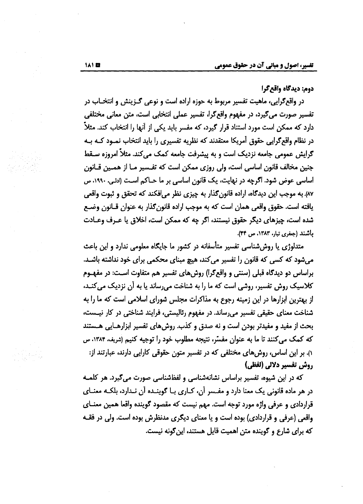دوم: ديدگاه واقع گرا

در واقعګرایی، ماهیت تفسیر مربوط به حوزه اراده است و نوعی ګـزینش و انتخــاب در تفسیر صورت می گیرد، در مفهوم واقع گرا، تفسیر عملی انتخابی است، متن معانی مختلفی دارد که ممکن است مورد استناد قرار گیرد، که مفسر باید یکی از آنها را انتخاب کند. مثلاً در نظام واقع گرایی حقوق آمریکا معتقدند که نظریه تفسیری را باید انتخاب نمـود کـه بـه گرایش عمومی جامعه نزدیک است و به پیشرفت جامعه کمک می کند. مثلاً امروزه سـقط جنین مخالف قانون اساسی است، ولی روزی ممکن است که تفـسیر مـا از همـین قــانون اساسی عوض شود. اگرچه در نهایت، یک قانون اساسی بر ما حــاکم اسـت (ادلـی، ۱۹۹۰، ص ٨٧) به موجب این دیدگاه، اراده قانون گذار به چیزی نظر میافکند که تحقق و ثبوت واقعی یافته است. حقوق واقعی همان است که به موجب اراده قانون گذار به عنوان قـانون وضـع شده است، چیزهای دیگر حقوق نیستند، اگر چه که ممکن است، اخلاق یا عـرف وعـادت باشند (جغرى تبار، ١٣٨٣، ص ٣۴).

متدلوژی یا روش شناسی تفسیر متأسفانه در کشور ما جایگاه معلومی ندارد و این باعث می شود که کسی که قانون را تفسیر می کند، هیچ مبنای محکمی برای خود نداشته باشـد. براساس دو دیدگاه قبلی (سنتی و واقعگرا) روشهای تفسیر هم متفاوت است: در مفهـوم کلاسیک روش تفسیر، روشی است که ما را به شناخت می رساند یا به آن نزدیک می کنـد، از بهترین ابزارها در این زمینه رجوع به مذاکرات مجلس شورای اسلامی است که ما را به شناخت معنای حقیقی تفسیر می رساند. در مفهوم رئالیستی، فرایند شناختی در کار نیست، بحث از مفید و مفیدتر بودن است و نه صدق و کذب. روش های تفسیر ابزارهـایی هـستند که کمک میکنند تا ما به عنوان مفسّر، نتیجه مطلوب خود را توجیه کنیم (شریف، ۱۳۸۴، ص ۱). بر این اساس، روشهای مختلفی که در تفسیر متون حقوقی کارایی دارند، عبارتند از: روش تفسير دلالي (لفظي)

که در این شیوه، تفسیر براساس نشانهشناسی و لفظشناسی صورت میگیرد. هر کلمـه در هر ماده قانونی یک معنا دارد و مفـسر آن، کـاری بـا گوینـده آن نـدارد، بلکـه معنـای قراردادی و عرفی واژه مورد توجه است. مهم نیست که مقصود گوینده واقعا همین معنــای واقعی (عرفی و قراردادی) بوده است و یا معنای دیگری مدنظرش بوده است. ولی در فقـه که برای شارع و گوینده متن اهمیت قایل هستند، این گونه نیست.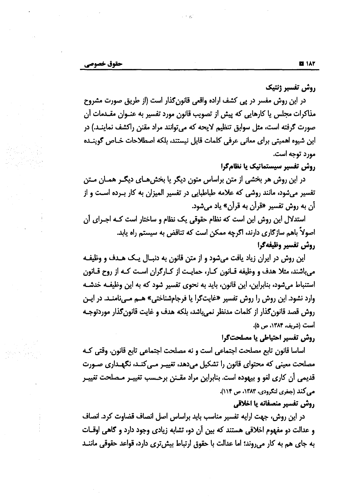روش تفسير ژنتيك

در این روش مفسر در پی کشف اراده واقعی قانون گذار است (از طریق صورت مشروح مذاکرات مجلس یا کارهایی که پیش از تصویب قانون مورد تفسیر به عنـوان مقـدمات آن صورت گرفته است، مثل سوابق تنظیم لایحه که می توانند مراد مقنن راکشف نماینـد.) در این شیوه اهمیتی برای معانی عرفی کلمات قایل نیستند، بلکه اصطلاحات خاص گوینده مورد توجه است.

روش تفسیر سیستماتیک یا نظامگرا

در این روش هر بخشی از متن براساس متون دیگر یا بخشهای دیگـر همـان مـتن تفسیر میشود، مانند روشی که علامه طباطبایی در تفسیر المیزان به کار ب رده است و از آن به روش تفسیر «قرآن به قرآن» یاد میشود.

استدلال این روش این است که نظام حقوقی یک نظام و ساختار است کـه اجـرای آن اصولاً باهم سازگاری دارند، اگرچه ممکن است که تناقض به سیستم راه یابد. روش تفسير وظيفهكرا

این روش در ایران زیاد یافت میشود و از متن قانون به دنبال یک هـدف و وظیفـه می باشند، مثلا هدف و وظیفه قـانون کـار، حمایـت از کـارگران اسـت کـه از روح قـانون استنباط می شود، بنابراین، این قانون، باید به نحوی تفسیر شود که به این وظیفـه خدشـه وارد نشود. این روش را روش تفسیر «غایتگرا یا فرجامشناختی» هـم مـیiمنـد. در ایـن روش قصد قانون كذار از كلمات مدنظر نمىباشد، بلكه هدف و غايت قانون كذار موردتوجـه است (شريف، ١٣٨۴، ص ۵).

### روش تفسير احتياطي يا مصلحتگرا

اساسا قانون تابع مصلحت اجتماعي است و نه مصلحت اجتماعي تابع قانون. وقتي كـه مصلحت معینی که محتوای قانون را تشکیل میدهد، تغییـر مـیکنـد، نگهـداری صـورت قدیمی أن كاری لغو و بیهوده است. بنابراین مراد مقـنن برحـسب تغییـر مـصلحت تغییـر می کند (جغری لنگرودی، ۱۳۸۳، ص ۱۱۴).

#### روش تفسير منصفانه يا اخلاقي

در این روش، جهت ارایه تفسیر مناسب باید براساس اصل انصاف قضاوت کرد. انصاف و عدالت دو مفهوم اخلاقی هستند که بین آن دو، تشابه زیادی وجود دارد و گاهی اوقـات به جای هم به کار میروند؛ اما عدالت با حقوق ارتباط بیشتری دارد، قواعد حقوقی ماننـد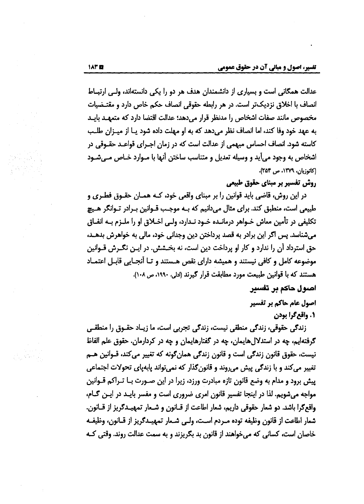عدالت همگانی است و بسیاری از دانشمندان هدف هر دو را یکی دانستهاند، ولی ارتبیاط انصاف با اخلاق نزدیک تر است. در هر رابطه حقوقی انصاف حکم خاص دارد و مقتـضیات مخصوص مانند صفات اشخاص را مدنظر قرار مى دهد؛ عدالت اقتضا دارد كه متعهـد بايـد به عهد خود وفا كند، اما انصاف نظر مى دهد كه به او مهلت داده شود يـا از ميـزان طلـب کاسته شود. انصاف احساس مبهمی از عدالت است که در زمان اجـرای قواعـد حقـوقی در اشخاص به وجود میآید و وسیله تعدیل و متناسب ساختن آنها با مـوارد خـاص مـیشـود (کاتوزیان، ١٣٧٩، ص ٢٥٣).

## روش تفسیر بر مبنای حقوق طبیعی

در این روش، قاضی باید قوانین را بر مبنای واقعی خود، کـه همـان حقـوق فطـری و طبیعی است، منطبق کند. برای مثال میدانیم که بـه موجـب قـوانین بـرادر تـوانگر هـیچ تکلیفی در تأمین معاش خــواهر درمانــده خــود نــدارد، ولــی اخــلاق او را ملــزم بــه انفــاق میشناسد. پس اگر این برادر به قصد پرداختن دین وجدانی خود، مالی به خواهرش بدهـد، حق استرداد آن را ندارد و کار او پرداخت دین است، نه بخـشش. در ایــن نگــرش قــوانین موضوعه كامل و كافي نيستند و هميشه داراي نقص هـستند و تـا أنجـايي قابـل اعتمـاد هستند كه با قوانين طبيعت مورد مطابقت قرار كيرند (ادلى، ١٩٩٠، ص ١٠٨).

### اصول حاکم بر تفسیر

اصول عام هاکم بر تفسیر 1. واقع گرا بودن

زندگی حقوقی، زندگی منطقی نیست، زندگی تجربی است، ما زیـاد حقـوق را منطقـی گرفتهایم، چه در استدلالهایمان، چه در گفتارهایمان و چه در کردارمان. حقوق علم الفاظ نیست، حقوق قانون زندگی است و قانون زندگی همانگونه که تغییر میکند، قــوانین هــم تغییر میکند و با زندگی پیش می روند و قانون گذار که نمی تواند پابهپای تحولات اجتماعی پیش برود و مدام به وضع قانون تازه مبادرت ورزد، زیرا در این صـورت بــا تــراکم قــوانین مواجه میشویم. لذا در اینجا تفسیر قانون امری ضروری است و مفسر بایـد در ایـن کـام، واقع گرا باشد. دو شعار حقوقی داریم، شعار اطاعت از قـانون و شـعار تمهیـدگریز از قــانون. شعار اطاعت از قانون وظيفه توده مــردم اســت، ولــي شـعار تمهيــدګريز از قــانون، وظيفــه خاصان است، کسانی که می خواهند از قانون بد بگریزند و به سمت عدالت روند. وقتی کـه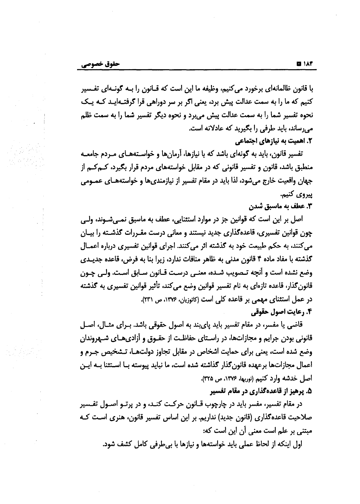با قانون ظالمانهای برخورد می کنیم، وظیفه ما این است که قــانون را بــه گونــهای تفــسیر كنيم كه ما را به سمت عدالت پيش برد، يعني اگر بر سر دوراهي قرا گرفتـهايـد كـه يـك نحوه تفسیر شما را به سمت عدالت پیش می برد و نحوه دیگر تفسیر شما را به سمت ظلم میرساند، باید طرفی را بگیرید که عادلانه است. **2. اهمیت به نیازهای اجتماعی** 

تفسیر قانون، باید به گونهای باشد که با نیازها، آرمانها و خواسـتههـای مـردم جامعـه منطبق باشد، قانون و تفسیر قانونی که در مقابل خواستههای مردم قرار بگیرد، ک**ـ**مکـم از جهان واقعيت خارج ميشود، لذا بايد در مقام تفسير از نيازمنديها و خواستههـاي عمــومي ييروي كنيم.

3. عطف به ماسبق شدن

اصل بر این است که قوانین جز در موارد استئنایی، عطف به ماسبق نمـی.شـوند، ولـی چون قوانین تفسیری، قاعدهگذاری جدید نیستند و معانی درست مقـررات گذشـته را بیــان میکنند، به حکم طبیعت خود به گذشته اثر میکنند. اجرای قوانین تفسیری درباره اعمـال گذشته با مفاد ماده ۴ قانون مدنی به ظاهر منافات ندارد، زیرا بنا به فرض، قاعده جدیــدی وضع نشده است و آنچه تـصويب شـده، معنـي درسـت قــانون ســابق اسـت. ولـي چــون قانون گذار، قاعده تازهای به نام تفسیر قوانین وضع می کند، تأثیر قوانین تفسیری به گذشته در عمل استثنای مهمی بر قاعده کلی است (کاتوزیان، ۱۳۷۶، ص ۲۳۱). **۴. رعایت اصول حقوقی** 

قاضی یا مفسر، در مقام تفسیر باید پایبند به اصول حقوقی باشد. بـرای مثـال، اصـل قانونی بودن جرایم و مجازاتها، در راسـتای حفاظـت از حقـوق و آزادی،هــآی شـهروندان وضع شده است، یعنی برای حمایت اشخاص در مقابل تجاوز دولتها، تـشخیص جـرم و اعمال مجازاتها برعهده قانونگذار گذاشته شده است، ما نباید پیوسته بـا اسـتثنا بـه ایـن اصل خدشه وارد كنيم (نوربها، ۱۳۷۶، ص ۳۲۵). ۵. پرهيز از قاعدهگذاري در مقام تفسير

در مقام تفسیر، مفسر باید در چارچوب قــانون حرکـت کنـد، و در پرتــو اصــول تفــسیر صلاحیت قاعدهگذاری (قانون جدید) نداریم. بر این اساس تفسیر قانون، هنری اسـت کـه مبتنی بر علم است معنی آن این است که:

اول اینکه از لحاظ عملی باید خواستهها و نیازها با بیطرفی کامل کشف شود.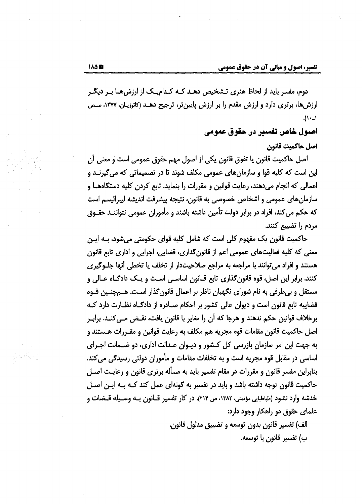دوم، مفسر باید از لحاظ هنری تـشخیص دهـد کـه کـدامیـک از ارزش هـا بـر دیگـر ارزشها، برتری دارد و ارزش مقدم را بر ارزش پایینتر، ترجیح دهـد (کاتوزیـان، ۱۳۷۷، صـص  $(1 -$ 

اصبول خاص تفسیر در حقوق عمومی

اصل حاكميت قانون

اصل حاكميت قانون يا تفوق قانون يكي از اصول مهم حقوق عمومي است و معنى آن این است که کلیه قوا و سازمانهای عمومی مکلف شوند تا در تصمیماتی که میگیرنـد و اعمالی که انجام میدهند، رعایت قوانین و مقررات را بنماید. تابع کردن کلیه دستگاههـا و سازمانهای عمومی و اشخاص خصوصی به قانون، نتیجه پیشرفت اندیشه لیبرالیسم است که حکم میکند، افراد در برابر دولت تأمین داشته باشند و مأموران عمومی نتواننـد حقــوق مردم را تضییع کنند.

حاکمیت قانون یک مفهوم کلی است که شامل کلیه قوای حکومتی میشود، بـه ایـن معنی که کلیه فعالیتهای عمومی اعم از قانون گذاری، قضایی، اجرایی و اداری تابع قانون هستند و افراد می توانند با مراجعه به مراجع صلاحیتدار از تخلف یا تخطی آنها جلـوګیری کنند. برابر این اصل، قوه قانون گذاری تابع قــانون اساســی اسـت و یــک دادگــاه عــالی و مستقل و بی طرفی به نام شورای نگهبان ناظر بر اعمال قانون گذار است. هــمچنـین قــوه قضاییه تابع قانون است و دیوان عالی کشور بر احکام صـادره از دادگـاه نظـارت دارد کـه برخلاف قوانین حکم ندهند و هرجا که أن را مغایر با قانون یافت، نقـض مـی/کنـد. برابـر اصل حاکمیت قانون مقامات قوه مجریه هم مکلف به رعایت قوانین و مقـررات هـستند و به جهت این امر سازمان بازرسی کل کـشور و دیـوان عـدالت اداری، دو ضـمانت اجـرای اساسی در مقابل قوه مجریه است و به تخلفات مقامات و مأموران دولتی رسیدگی می کند. بنابراین مفسر قانون و مقررات در مقام تفسیر باید به مسأله برتری قانون و رعایـت اصـل حاکمیت قانون توجه داشته باشد و باید در تفسیر به گونهای عمل کند کـه بـه ایـن اصـل خدشه وارد نشود (طباطبایی مؤتمنی، ۱۳۸۲، ص ۲۱۴). در کار تفسیر قــانون بــه وســیله قــضات و علمای حقوق دو راهکار وجود دارد:

> الف) تفسير قانون بدون توسعه و تضييق مدلول قانون. ب) تفسير قانون با توسعه.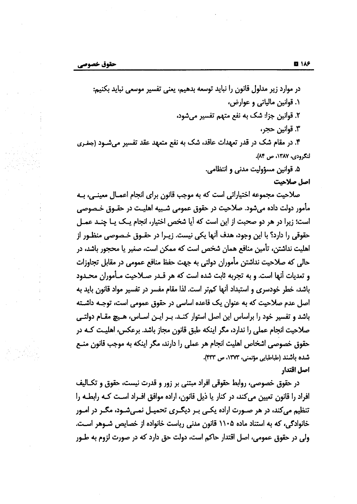در موارد زیر مدلول قانون را نباید توسعه بدهیم، یعنی تفسیر موسعی نباید بکنیم: ۰۱ قوانین مالیاتی و عوارض، ٢. قوانين جزا: شک به نفع متهم تفسير مي شود، ٣. قوانين حجر، ۴. در مقام شک در قدر تعهدات عاقد، شک به نفع متعهد عقد تفسیر میشود (جغری لنگرودي، ١٣٨٧، ص ٨۴).

۵. قوانین مسؤولیت مدنی و انتظامی.

اصل صلاحیت

صلاحیت مجموعه اختیاراتی است که به موجب قانون برای انجام اعمـال معینـی، بـه مأمور دولت داده میشود. صلاحیت در حقوق عمومی شـبیه اهلیـت در حقـوق خـصوصی است؛ زیرا در هر دو صحبت از این است که آیا شخص اختیار، انجام یک یـا چنـد عمـل حقوقی را دارد؟ با این وجود، هدف آنها یکی نیست. زیـرا در حقــوق خــصوصی منظــور از اهلیت نداشتن، تأمین منافع همان شخص است که ممکن است، صغیر یا محجور باشد، در حالی که صلاحیت نداشتن مأموران دولتی به جهت حفظ منافع عمومی در مقابل تجاوزات و تعدیات آنها است. و به تجربه ثابت شده است که هر قـدر صـلاحیت مـأموران محـدود باشد، خطر خودسری و استبداد آنها کمتر است. لذا مقام مفسر در تفسیر مواد قانون باید به اصل عدم صلاحیت که به عنوان یک قاعده اساسی در حقوق عمومی است، توجـه داشـته باشد و تفسیر خود را براساس این اصل استوار کنـد. بـر ایـن اسـاس، هـیچ مقـام دولتـی صلاحیت انجام عملی را ندارد، مگر اینکه طبق قانون مجاز باشد. برعکس، اهلیـت کـه در حقوق خصوصی اشخاص اهلیت انجام هر عملی را دارند، مگر اینکه به موجب قانون منـع شده باشند (طباطبایی مؤتمنی، ۱۳۷۳، ص ۴۳۳). اصل اقتدار

در حقوق خصوصی، روابط حقوقی افراد مبتنی بر زور و قدرت نیست، حقوق و تکـالیف افراد را قانون تعیین می کند، در کنار یا ذیل قانون، اراده موافق افـراد اسـت کـه رابطـه را تنظیم میکند، در هر صـورت اراده یکـی بـر دیگـری تحمیـل نمـیشـود، مگـر در امـور خانوادگی، که به استناد ماده ۱۱۰۵ قانون مدنی ریاست خانواده از خصایص شـوهر اسـت. ولي در حقوق عمومي، اصل اقتدار حاكم است، دولت حق دارد كه در صورت لزوم به طــور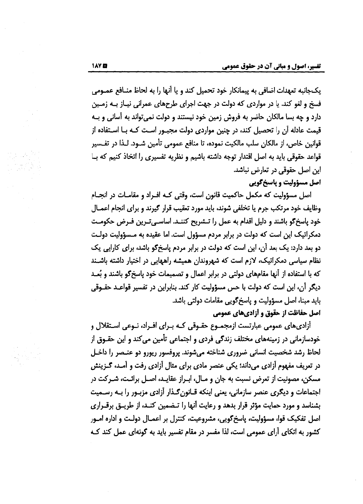یک جانبه تعهدات اضافی به پیمانکار خود تحمیل کند و یا آنها را به لحاظ منـافع عمـومی فسخ و لغو کند. یا در مواردی که دولت در جهت اجرای طرحهای عمرانی نیـاز بـه زمـین دارد و چه بسا مالکان حاضر به فروش زمین خود نیستند و دولت نمی تواند به آسانی و بـه قیمت عادله آن را تحصیل کند، در چنین مواردی دولت مجبـور اسـت کـه بـا اسـتفاده از قوانین خاص، از مالکان سلب مالکیت نموده، تا منافع عمومی تأمین شـود. لـذا در تفـسیر قواعد حقوقی باید به اصل اقتدار توجه داشته باشیم و نظریه تفسیری را اتخاذ کنیم که بـا این اصل حقوقی در تعارض نباشد.

### اصل مسؤوليت و پاسخگويي

اصل مسؤولیت که مکمل حاکمیت قانون است، وقتی کـه افـراد و مقامـات در انجـام وظايف خود مرتكب جرم يا تخلفي شوند، بايد مورد تعقيب قرار كيرند و براي انجام اعمــال خود پاسخ گو باشند و دلیل اقدام به عمل را تـشریح کننـد. اساسـیتـرین فـرض حکومـت دمکراتیک این است که دولت در برابر مردم مسؤول است. اما عقیده به مسؤولیت دولت دو بعد دارد: یک بعد آن، این است که دولت در برابر مردم یاسخ\$و باشد، برای کارایی یک نظام سیاسی دمکراتیک، لازم است که شهروندان همیشه راههایی در اختیار داشته باشـند که با استفاده از آنها مقامهای دولتی در برابر اعمال و تصمیمات خود پاسخ گو باشند و بُعـد دیگر آن، این است که دولت با حس مسؤولیت کار کند. بنابراین در تفسیر قواعـد حقــوقی بايد مبنا، اصل مسؤوليت و پاسخ گويى مقامات دولتى باشد. اصل حفاظت از حقوق و أزاديهاي عمومي

آزادیهای عمومی عبارتست ازمجمــوع حقــوقی کــه بــرای افــراد، نــوعی اســتقلال و خودسازمانی در زمینههای مختلف زندگی فردی و اجتماعی تأمین می کند و این حقـوق از لحاظ رشد شخصیت انسانی ضروری شناخته میشوند. پروفسور ریورو دو عنـصر را داخـل در تعریف مفهوم آزادی میداند؛ یکی عنصر مادی برای مثال آزادی رفت و آمـد، گــزینش مسکن، مصونیت از تعرض نسبت به جان و مـال، ابـراز عقایـد، اصـل برائـت، شـرکت در اجتماعات و دیگری عنصر سازمانی، یعنی اینکه قـانون گـذار آزادی مزبـور را بـه رسـمیت بشناسد و مورد حمایت مؤثر قرار بدهد و رعایت آنها را تـضمین کنـد، از طریـق برقــراری اصل تفکیک قوا، مسؤولیت، پاسخگویی، مشروعیت، کنترل بر اعمـال دولـت و اداره امــور کشور به اتکای آرای عمومی است، لذا مفسر در مقام تفسیر باید به گونهای عمل کند ک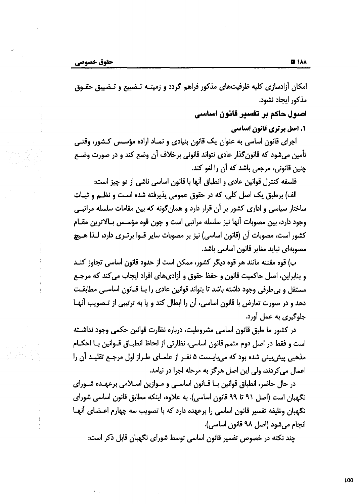امکان آزادسازی کلیه ظرفیتهای مذکور فراهم گردد و زمینـه تـضییع و تـضییق حقـوق مذكور ايجاد نشود.

اصبول حاکم بر تفسیر قانون اساسی

1. اصل برتري قاتون اساسي

اجرای قانون اساسی به عنوان یک قانون بنیادی و نمـاد اراده مؤسـس کـشور، وقتـی تأمین میشود که قانون گذار عادی نتواند قانونی برخلاف آن وضع کند و در صورت وضـع چنین قانونی، مرجعی باشد که آن را لغو کند.

فلسفه كنترل قوانين عادي و انطباق أنها با قانون اساسی ناشی از دو چیز است:

الف) برطبق یک اصل کلی، که در حقوق عمومی پذیرفته شده است و نظـم و ثبـات ساختار سیاسی و اداری کشور بر آن قرار دارد و همان گونه که بین مقامات سلسله مراتبـی وجود دارد، بین مصوبات آنها نیز سلسله مراتبی است و چون قوه مؤسـس بـالاترین مقـام كشور است، مصوبات أن (قانون اساسي) نيز بر مصوبات ساير قــوا برتــرى دارد، لــذا هــيج مصوبهای نباید مغایر قانون اساسی باشد.

ب) قوه مقننه مانند هر قوه ديگر كشور، ممكن است از حدود قانون اساسی تجاوز كنـد و بنابراین، اصل حاکمیت قانون و حفظ حقوق و آزادی های افراد ایجاب می کند که مرجع مستقل و بی طرفی وجود داشته باشد تا بتواند قوانین عادی را بـا قـانون اساسـی مطابقـت دهد و در صورت تعارض با قانون اساسی، أن را ابطال کند و یا به ترتیبی از تـصویب أنهـا جلوگیری به عمل آورد.

در کشور ما طبق قانون اساسی مشروطیت، درباره نظارت قوانین حکمی وجود نداشته است و فقط در اصل دوم متمم قانون اساسی، نظارتی از لحاظ انطبــاق قــوانین بــا احکــام مذهبی پیش بینی شده بود که می بایـست ۵ نفـر از علمـای طـراز اول مرجـع تقلیـد آن را اعمال می کردند، ولی این اصل هرگز به مرحله اجرا در نیامد.

در حال حاضر، انطباق قوانین بــا قــانون اساســی و مــوازین اســلامی برعهــده شــورای نگهبان است (اصل ۹۱ تا ۹۹ قانون اساسی). به علاوه، اینکه مطابق قانون اساسی شورای نگهبان وظیفه تفسیر قانون اساسی را برعهده دارد که با تصویب سه چهارم اعـضای أنهـا انجام می شود (اصل ۹۸ قانون اساسی).

چند نکته در خصوص تفسیر قانون اساسی توسط شورای نگهبان قابل ذکر است: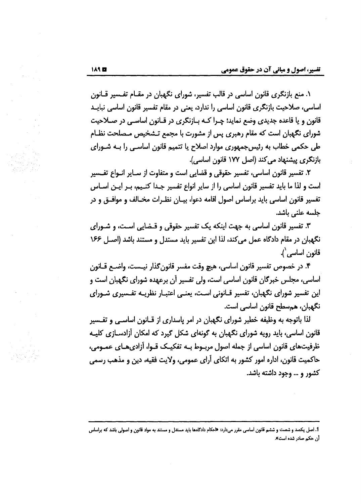۱. منع بازنگری قانون اساسی در قالب تفسیر، شورای نگهبان در مقـام تفـسیر قـانون اساسی، صلاحیت بازنگری قانون اساسی را ندارد، یعنی در مقام تفسیر قانون اساسی نبایــد قانون و یا قاعده جدیدی وضع نماید؛ چـرا کـه بـازنگری در قـانون اساسـی در صـلاحیت شورای نگهبان است که مقام رهبری پس از مشورت با مجمع تـشخیص مـصلحت نظـام طی حکمی خطاب به رئیسجمهوری موارد اصلاح یا تتمیم قانون اساسـی را بـه شـورای بازنگری پیشنهاد می کند (اصل ۱۷۷ قانون اساسی).

۲. تفسیر قانون اساسی، تفسیر حقوقی و قضایی است و متفاوت از سـایر انـواع تفـسیر است و لذا ما باید تفسیر قانون اساسی را از سایر انواع تفسیر جـدا کنـیم، بـر ایـن اسـاس تفسیر قانون اساسی باید براساس اصول اقامه دعوا، بیـان نظـرات مخـالف و موافـق و در جلسه علنی باشد.

۳. تفسیر قانون اساسی به جهت اینکه یک تفسیر حقوقی و قـضایی اسـت، و شـورای نگهبان در مقام دادگاه عمل میکند، لذا این تفسیر باید مستدل و مستند باشد (اصـل ۱۶۶ قانون اساسی').

۴. در خصوص تفسیر قانون اساسی، هیچ وقت مفسر قانون گذار نیـست، واضـح قـانون اساسی، مجلس خبرگان قانون اساسی است، ولی تفسیر آن برعهده شورای نگهبان است و این تفسیر شورای نگهبان، تفسیر قـانونی اسـت، یعنـی اعتبـار نظریـه تفـسیری شـورای نگهبان، همسطح قانون اساسی است.

لذا باتوجه به وظیفه خطیر شورای نگهبان در امر پاسداری از قـانون اساسـی و تفـسیر قانون اساسی، باید رویه شورای نگهبان به گونهای شکل گیرد که امکان آزادسـازی کلیـه ظرفیتهای قانون اساسی از جمله اصول مربـوط بـه تفکیـک قـوا، آزادیهـای عمـومی، حاکمیت قانون، اداره امور کشور به اتکای آرای عمومی، ولایت فقیه، دین و مذهب رسمی کشور و … وجود داشته باشد.

<sup>1.</sup> اصل یکصد و شصت و ششم قانون اساسی مقرر میدارد: «احکام دادگاهها باید مستدل و مستند به مواد قانون و اصولی باشد که براساس آن حکم صادر شده است».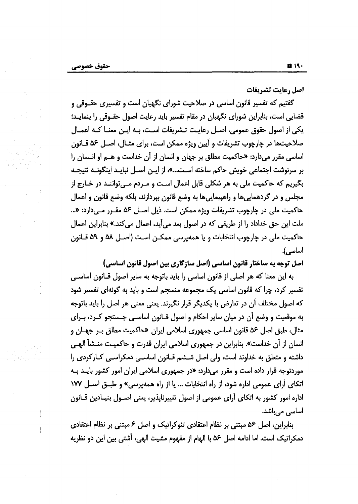اصل رعايت تشريفات

گفتیم که تفسیر قانون اساسی در صلاحیت شورای نگهبان است و تفسیری حقـوقی و قضایی است، بنابراین شورای نگهبان در مقام تفسیر باید رعایت اصول حقـوقی را بنمایـد؛ یکی از اصول حقوق عمومی، اصـل رعایـت تـشریفات اسـت، بـه ایـن معنـا کـه اعمـال صلاحیتها در چارچوب تشریفات و آیین ویژه ممکن است، برای مثـال، اصـل ۵۶ قـانون اساسی مقرر میدارد: «حاکمیت مطلق بر جهان و انسان از آن خداست و هـم او انـسان را بر سرنوشت اجتماعی خویش حاکم ساخته اسـت…»، از ایـن اصـل نبایـد اینگونـه نتیجـه بگیریم که حاکمیت ملی به هر شکلی قابل اعمال است و مـردم مـی تواننـد در خـارج از مجلس و در گردهمایی ها و راهپیمایی ها به وضع قانون بپردازند، بلکه وضع قانون و اعمال حاكميت ملي در چارچوب تشريفات ويژه ممكن است. ذيل اصـل ۵۶ مقـرر مـيدارد: «... ملت این حق خداداد را از طریقی که در اصول بعد میآید، اعمال میکند.» بنابراین اعمال حاكميت ملي در چارچوب انتخابات و يا همهپرسي ممكـن اسـت (اصـل ۵۸ و ۵۹ قــانون اساسے ,).

اصل توجه به ساختار قانون اساسی (اصل سازگاری بین اصول قانون اساسی)

به این معنا که هر اصلی از قانون اساسی را باید باتوجه به سایر اصول قــانون اساســی تفسیر کرد، چرا که قانون اساسی یک مجموعه منسجم است و باید به گونهای تفسیر شود که اصول مختلف اَن در تعارض با یکدیگر قرار نگیرند. یعنی معنی هر اصل را باید باتوجه به موقعیت و وضع آن در میان سایر احکام و اصول قــانون اساســی جــستجو کــرد، بــرای مثال، طبق اصل ۵۶ قانون اساسی جمهوری اسلامی ایران «حاکمیت مطلق بـر جهـان و انسان از آن خداست». بنابراین در جمهوری اسلامی ایران قدرت و حاکمیـت منـشأ الهـی داشته و متعلق به خداوند است، ولی اصل شـشم قـانون اساسـی دمکراسـی کـارکردی را موردتوجه قرار داده است و مقرر میدارد: «در جمهوری اسلامی ایران امور کشور بایـد بـه اتكاى أراى عمومى اداره شود، از راه انتخابات … يا از راه همه يرسى» و طبــق اصــل ١٧٧ اداره امور کشور به اتکای آرای عمومی از اصول تغییرناپذیر، یعنی اصـول بنیـادین قــانون اساسی میباشد.

بنابراین، اصل ۵۶ مبتنی بر نظام اعتقادی تئوکراتیک و اصل ۶ مبتنی بر نظام اعتقادی دمكراتيك است. اما ادامه اصل ۵۶ با الهام از مفهوم مشيت الهي، آشتي بين اين دو نظريه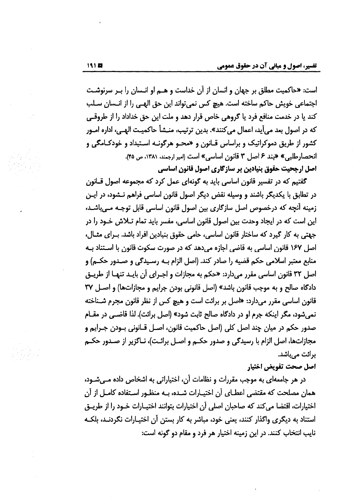است: «حاكميت مطلق بر جهان و انسان از آن خداست و هـم او انـسان را بـر سرنوشـت اجتماعي خويش حاكم ساخته است. هيچ كس نمي تواند اين حق الهـي را از انـسان سـلب کند یا در خدمت منافع فرد یا گروهی خاص قرار دهد و ملت این حق خداداد را از طروقبی که در اصول بعد می آید، اعمال می کنند». بدین ترتیب، منــشأ حاکمیـت الهــی، اداره امــور کشور از طریق دموکراتیک و براساس قــانون و «محـو هرگونــه اسـتبداد و خودکــامگی و انحصارطلبي» «بند ۶ اصل ۳ قانون اساسي» است (امير ارجمند، ۱۳۸۱، ص ۴۵). اصل ارجحیت حقوق بنیادین بر سازگاری اصول قانون اساسی

گفتیم که در تفسیر قانون اساسی باید به گونهای عمل کرد که مجموعه اصول قـانون در تطابق با یکدیگر باشند و وسیله نقض دیگر اصول قانون اساسی فراهم نـشود، در ایـن زمینه أنچه که درخصوص اصل سازگاری بین اصول قانون اساسی قابل توجـه مـی،اشـد، این است که در ایجاد وحدت بین اصول قانون اساسی، مفسر باید تمام تـلاش خـود را در جهتی به کار گیرد که ساختار قانون اساسی، حامی حقوق بنیادین افراد باشد. بـرای مثـال، اصل ۱۶۷ قانون اساسی به قاضی اجازه میدهد که در صورت سکوت قانون با اسـتناد بـه منابع معتبر اسلامي حكم قضيه را صادر كند. (اصل الزام بـه رسـيدگي و صـدور حكــم) و اصل ٣٢ قانون اساسي مقرر ميدارد: «حكم به مجازات و اجـراي آن بايـد تنهـا از طريـق دادگاه صالح و به موجب قانون باشد» (اصل قانونی بودن جرایم و مجازاتها) و اصل ۳۷ قانون اساسی مقرر میدارد: «اصل بر برائت است و هیچ کس از نظر قانون مجرم شـناخته نمی شود، مگر اینکه جرم او در دادگاه صالح ثابت شود» (اصل برائت). لذا قاضـی در مقـام صدور حکم در میان چند اصل کلی (اصل حاکمیت قانون، اصـل قـانونی بـودن جـرایم و مجازاتها، اصل الزام با رسیدگی و صدور حکــم و اصــل برائـت)، نــاگزیر از صــدور حکــم برائت میباشد.

اصل صحت تفويض اختيار

در هر جامعهای به موجب مقررات و نظامات آن، اختیاراتی به اشخاص داده مـیشـود، همان مصلحت که مقتضی اعطـای آن اختیـارات شـده، بـه منظـور اسـتفاده کامـل از آن اختیارات، اقتضا می کند که صاحبان اصلی آن اختیارات بتوانند اختیـارات خـود را از طریــق استناد به دیگری واگذار کنند، یعنی خود، مباشر به کار بستن آن اختیـارات نگردنـد، بلکـه نایب انتخاب کنند. در این زمینه اختیار هر فرد و مقام دو گونه است: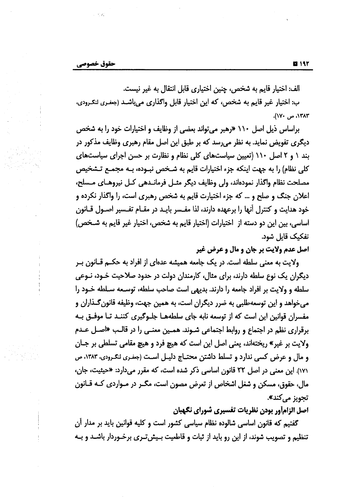الف: اختيار قايم به شخص، چنين اختياري قابل انتقال به غير نيست.

ب: اختیار غیر قایم به شخص، که این اختیار قابل واگذاری میباشـد (جغـری لنگـرودی، ١٣٨٣، ص ١٧٠).

براساس ذیل اصل ۱۱۰ «رهبر می تواند بعضی از وظایف و اختیارات خود را به شخص دیگری تفویض نماید. به نظر می سد که بر طبق این اصل مقام رهبری وظایف مذکور در بند ١ و ٢ اصل ١١٠ (تعيين سياستهاى كلى نظام و نظارت بر حسن اجراى سياستهاى كلي نظام) را به جهت اينكه جزء اختيارات قايم به شــخص نبــوده، بــه مجمــع تــشخيص مصلحت نظام واگذار نمودهاند، ولي وظايف ديگر مثـل فرمانــدهي كـل نيروهــاي مــسلح، اعلان جنگ و صلح و … که جزء اختیارت قایم به شخص رهبری است، را واگذار نکرده و خود هدایت و کنترل آنها را برعهده دارند، لذا مفـسر بایـد در مقـام تفـسیر اصـول قـانون اساسي، بين اين دو دسته از اختيارات (اختيار قايم به شخص، اختيار غير قايم به شــخص) تفکیک قایل شود.

اصل عدم ولايت بر جان و مال و عرض غير

ولایت به معنی سلطه است. در یک جامعه همیشه عدهای از افراد به حکــم قــانون بــر دیگران یک نوع سلطه دارند، برای مثال، کارمندان دولت در حدود صلاحیت خـود، نـوعی سلطه و ولايت بر افراد جامعه را دارند. بديهي است صاحب سلطه، توسـعه سـلطه خـود را می خواهد و این توسعه طلبی به ضرر دیگران است، به همین جهت، وظیفه قانون گـذاران و مفسران قوانین این است که از توسعه نابه جای سلطههـا جلـوگیری کننـد تـا موفـق بـه برقراری نظم در اجتماع و روابط اجتماعی شـوند. همـین معنـی را در قالـب «اصـل عـدم ولايت بر غير» ريختهاند، يعني اصل اين است كه هيچ فرد و هيچ مقامي تسلطي بر جـان و مال و عرض کسی ندارد و تسلط داشتن محتـاج دلیـل اسـت (جغـری لنکـرودی، ۱۳۸۳، ص ۱۷۱). این معنی در اصل ۲۲ قانون اساسی ذکر شده است، که مقرر میدارد: «حیثیت، جان، مال، حقوق، مسکن و شغل اشخاص از تعرض مصون است، مگــر در مــواردی کــه قــانون تجويز مي *ك*ند».

اصل الزامأور بودن نظريات تفسيري شوراي نگهبان

گفتیم که قانون اساسی شالوده نظام سیاسی کشور است و کلیه قوانین باید بر مدار اَن تنظیم و تصویب شوند، از این رو باید از ثبات و قاطعیت بـیشتـری برخـوردار باشــد و بـه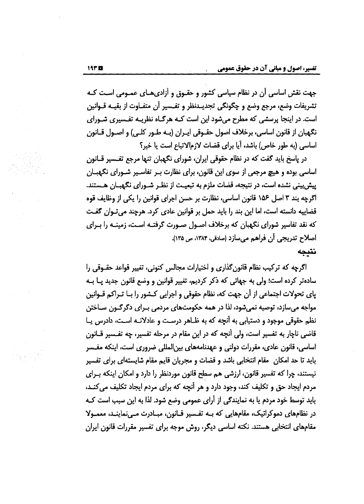جهت نقش اساسی آن در نظام سیاسی کشور و حقـوق و آزادی،هـای عمـومی اسـت کـه تشريفات وضع، مرجع وضع و چگونگی تجديـدنظر و تفـسير أن متفـاوت از بقيـه قـوانين است. در اینجا پرسشی که مطرح میشود این است کـه هرگـاه نظریـه تفـسیری شـورای نگهبان از قانون اساسی، برخلاف اصول حقـوقی ایـران (بـه طـور کلـی) و اصـول قـانون اساسی (به طور خاص) باشد، آیا برای قضات لازم الاتباع است یا خیر؟

در پاسخ باید گفت که در نظام حقوقی ایران، شورای نگهبان تنها مرجع تفـسیر قــانون اساسی بوده و هیچ مرجعی از سوی این قانون، برای نظارت بـر تفاسـیر شـورای نگهبـان پیش پینی نشده است، در نتیجه، قضات ملزم به تبعیـت از نظـر شـورای نگهبـان هـستند. اگرچه بند ۳ اصل ۱۵۶ قانون اساسی، نظارت بر حسن اجرای قوانین را یکی از وظایف قوه قضاییه دانسته است، اما این بند را باید حمل بر قوانین عادی کرد. هرچند میتوان گفت که نقد تفاسیر شورای نگهبان که برخلاف اصـول صـورت گرفتـه اسـت، زمینـه را بـرای اصلاح تدريجي أن فراهم مي سازد (صادقي، ١٣٨۴، ص ١٣٥). نتىحە

اگرچه که ترکیب نظام قانون گذاری و اختیارات مجالس کنونی، تغییر قواعد حقــوقی را سادهتر کرده است؛ ولی به جهاتی که ذکر کردیم، تغییر قوانین و وضع قانون جدید پـا بـه یای تحولات اجتماعی از آن جهت که، نظام حقوقی و اجرایی کشور را بـا تـراکم قـوانین مواجه میسازد، توصیه نمیشود، لذا در همه حکومتهای مردمی بـرای دگرگـون سـاختن نظم حقوقی موجود و دستیابی به آنچه که به ظـاهر درسـت و عادلانـه اسـت، دادرس پـا قاضی ناچار به تفسیر است، ولی آنچه که در این مقام در مرحله تفسیر، چه تفـسیر قــانون اساسی، قانون عادی، مقررات دولتی و عهدنامههای بین|لمللی ضروری است، اینکه مفـسر باید تا حد امکان ِ مقام انتخابی باشد و قضات و مجریان قایم مقام شایستهای برای تفسیر نیستند، چرا که تفسیر قانون، ارزشی هم سطح قانون موردنظر را دارد و امکان اینکه بـرای مردم ایجاد حق و تکلیف کند، وجود دارد و هر آنچه که برای مردم ایجاد تکلیف میکنـد، باید توسط خود مردم یا به نمایندگی از آرای عمومی وضع شود. لذا به این سبب است کـه در نظامهای دموکراتیک، مقامهایی که بـه تفـسیر قـانون، مبـادرت مـینماینـد، معمـولا مقامهای انتخابی هستند. نکته اساسی دیگر، روش موجه برای تفسیر مقررات قانون ایران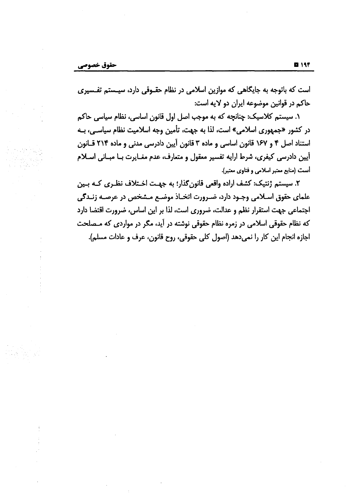است که باتوجه به جایگاهی که موازین اسلامی در نظام حقـوقی دارد، سیـستم تفـسیری حاكم در قوانين موضوعه ايران دو لايه است:

۱. سیستم کلاسیک: چنانچه که به موجب اصل اول قانون اساسی، نظام سیاسی حاکم در کشور «جمهوری اسلامی» است، لذا به جهت، تأمین وجه اسلامیت نظام سیاسـی، بــه استناد اصل ۴ و ۱۶۷ قانون اساسی و ماده ۳ قانون آیین دادرسی مدنی و ماده ۲۱۴ قانون آیین دادرسی کیفری، شرط ارایه تفسیر معقول و متعارف، عدم مغـایرت بـا مبـانی اسـلام آست (منابع معتبر اسلامی و فتاوی معتبر).

٢. سیستم ژنتیک: کشف اراده واقعی قانون گذار؛ به جهت اخـتلاف نظـری کـه بـین علمای حقوق اسـلامی وجـود دارد، ضـرورت اتخـاذ موضـع مـشخص در عرصـه زنـدگی اجتماعی جهت استقرار نظم و عدالت، ضروری است، لذا بر این اساس، ضرورت اقتضا دارد که نظام حقوقی اسلامی در زمره نظام حقوقی نوشته در آید، مگر در مواردی که مـصلحت اجازه انجام این کار را نمیدهد (اصول کلی حقوقی، روح قانون، عرف و عادات مسلم).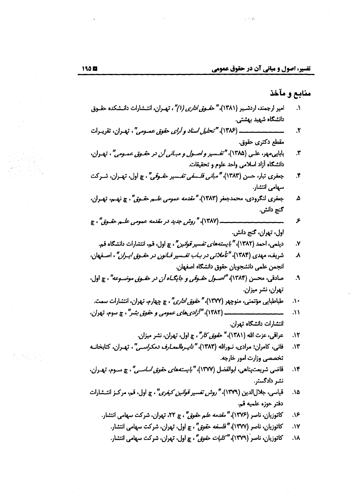### منابع و مآخذ

- امیر ارجمند، اردشیر (۱۳۸۱)، *" حقـوق اداری (۱)" ،* تهـران، انتـشارات دانـشکده حقـوق  $\Lambda$ دانشگاه شهید بهشتی.
- $\mathbf{r}$ مقطع دکتری حقوق.
- بابایی مهر، علـی (۱۳۸۵)، *"تفـسیر و اصـول و مبـانی آن در حقـوق عمـومی"*، تهـران، ۳. دانشكاه أزاد اسلامى واحد علوم و تحقيقات.
- جعفری تبار، حسن (۱۳۸۳)، *"مبانی فلسفی تفسیر حقہوقی"*، چ اول، تھـران، شـرکت  $\mathbf{r}$ سهامی انتشار.
- جعفري لنگرودي، محمدجعفر (١٣٨٣)، "*مقدمه عمومي علــم حقــوق"*، چ نهــم، تهــران، ۵ گنج دانش.
- ۶ اول، تهران، گنج دانش.
	- دیلمی، احمد (۱۳۸۲)، *" بایستههای تفسیر قوانی*ر "، چ اول، قم، انتشارات دانشگاه قم. ٧.
- شریف، مهدی (۱۳۸۴)، *"تأملاتی در بـاب تفـسیر قـانون در حقـوق ایـران"*، اصـفهان،  $\lambda$ انجمن علمي دانشجويان حقوق دانشگاه اصفهان.
- صادقی، محسن (۱۳۸۴)، "اصبول حقبوقی و جایگ*ـاه آن در* حقبوق موضبوعه" ، چ اول،  $\mathbf{A}$ تهران، نشر میزان.
- طباطبايي مؤتمني، منوچهر (١٣٧٧)، *" حقوق اداري"* ، چ چهارم، تهران، انتشارات سمت.  $\Lambda$
- $\Lambda$ انتشارات دانشگاه تهران.
	- عراقي، عزت الله (١٣٨١)، *" حقوق كار"* ، چ اول، تهران، نشر ميزان.  $\Lambda$
- فانی، کامران؛ مرادی، نـورالله (۱۳۸۳)، *"دایـرەالمعـارف دمکراسـی"*، تهـران، کتابخانـه  $\Lambda$ ۳ تخصصی وزارت امور خارجه.
- قاضی شریعتپناهی، ابوالفضل (۱۳۷۷)، *"بایستههای حقوق اساسیی"*، چ سـوم، تهـران، ۰۱۴ نشر دادگستر.
- قیاسی، جلالالدین (۱۳۷۹)، *"روش تفسیر قوانین کیفری"* ، چ اول، قم، مرکـز انتـشارات ۰۱۵. دفتر حوزه علميه قم.
	- کاتوزیان، ناصر (۱۳۷۶)، *" مقدمه علم حقوق"* ، چ ۲۲، تهران، شرکت سهامی انتشار. ۹۶.
		- كاتوزيان، ناصر (١٣٧٧)، *"فلسفه حقوق"*، چ اول، تهران، شركت سهامي انتشار. ٠١٧.
		- کاتوزیان، ناصر (۱۳۷۹)*، "کلیات حقوق"*، چ اول، تھران، شرکت سھامی انتشار. ۸۸.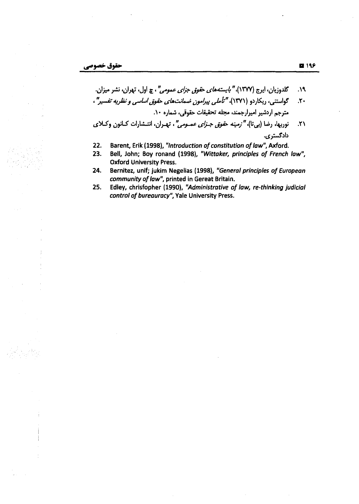- گلدوزیان، ایرج (۱۳۷۷)، *" بایستههای حقوق جزای عمومی"* ، چ اول، تهران، نشر میزان.  $\mathcal{M}.$
- گواستنی، ریکاردو (۱۳۷۱)، *"تأملی پیرامون ضمانتهای حقوق اساسی و نظریه تفسیر"*،  $\mathcal{N}$ مترجم اردشير اميرارجمند، مجله تحقيقات حقوقى، شماره ١٠.
- نوربها، رضا (بی¤ا)، "رَصِيْه ح*قوق جـزای عمــومی"*، تهـران، انتـشارات كــانون وكــلای  $\mathcal{N}$ دادگستری.
- Barent, Erik (1998), "Introduction of constitution of law", Axford.  $22.$
- 23. Bell, John; Boy ronand (1998), "Wittaker, principles of French law", **Oxford University Press.**
- 24. Bernitez, unif; jukim Negelias (1998), "General principles of European community of law", printed in Gereat Britain.
- $25.$ Edley, chrisfopher (1990), "Administrative of law, re-thinking judicial control of bureauracy", Yale University Press.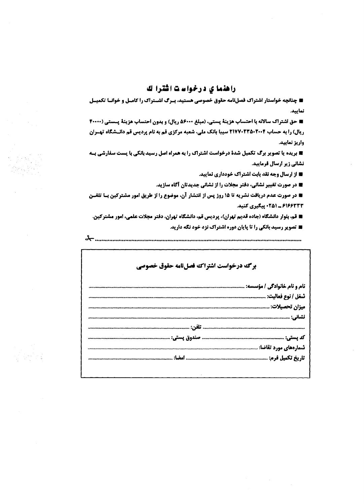### راهنما ی درخواست اشترا ك

■ چنانچه خواستار اشتراک فصلنامه حقوق خصوصی هستید، بیرگ اشیتراک را کامیل و خوانیا تکمییل تماييد.

■ حق اشتراك سالاته با احتساب هزينة يستي، (مبلغ ۵۶۰۰۰ ريال) و بدون احتساب هزينة يـستي (4000 آ ریال) را به حساب ۲۱۷۷۰۲۳۵۰۲۰۰۴ سیبا بانک ملی، شعبه مرکزی قم به نام پردیس قم دانـشگاه تهـران واريز تماييد.

■ بریده یا تصویر برگ تکمیل شدة درخواست اشتراک را به همراه اصل رسید بانکی با پست سفارشی بـه تشاتی زیر ارسال فرمایید.

■ از ارسال وجه نقد بابت اشتراك خودداري نماييد.

■ در صورت تغییر نشانی، دفتر مجلات را از نشانی جدیدتان آگاه سازید.

■ در صورت عدم دریافت نشریه تا ۱۵ روز پس از انتشار آن، موضوع را از طریق امور مشترکین بـا تلفــن ۶۱۶۶۳۳۳ ـ ۲۵۱ ویگیری کنید.

■ قم، بلوار دانشگاه (جاده قدیم تهران)، پردیس قم، دانشگاه تهران، دفتر مجلات علمی، امور مشترکین.

■ تصویر رسید بانکی را تا پایان دوره اشتراک نزد خود نگه دارید.

برگ درخواست اشتراکه فصلنامه حقوق خصوصی